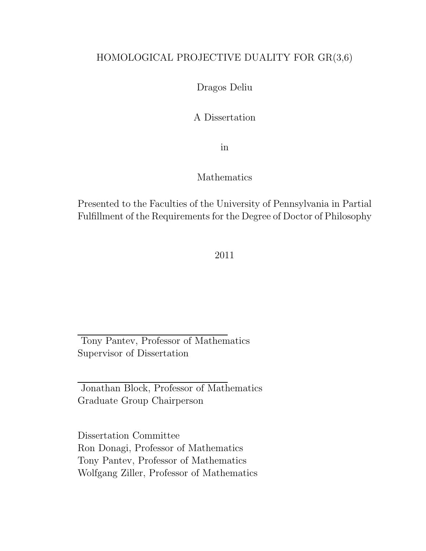### HOMOLOGICAL PROJECTIVE DUALITY FOR GR(3,6)

#### Dragos Deliu

#### A Dissertation

in

#### Mathematics

Presented to the Faculties of the University of Pennsylvania in Partial Fulfillment of the Requirements for the Degree of Doctor of Philosophy

#### 2011

Tony Pantev, Professor of Mathematics Supervisor of Dissertation

Jonathan Block, Professor of Mathematics Graduate Group Chairperson

Dissertation Committee Ron Donagi, Professor of Mathematics Tony Pantev, Professor of Mathematics Wolfgang Ziller, Professor of Mathematics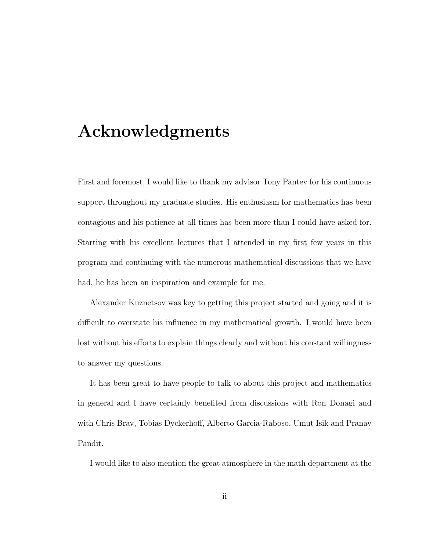# Acknowledgments

First and foremost, I would like to thank my advisor Tony Pantev for his continuous support throughout my graduate studies. His enthusiasm for mathematics has been contagious and his patience at all times has been more than I could have asked for. Starting with his excellent lectures that I attended in my first few years in this program and continuing with the numerous mathematical discussions that we have had, he has been an inspiration and example for me.

Alexander Kuznetsov was key to getting this project started and going and it is difficult to overstate his influence in my mathematical growth. I would have been lost without his efforts to explain things clearly and without his constant willingness to answer my questions.

It has been great to have people to talk to about this project and mathematics in general and I have certainly benefited from discussions with Ron Donagi and with Chris Brav, Tobias Dyckerhoff, Alberto Garcia-Raboso, Umut Isik and Pranav Pandit.

I would like to also mention the great atmosphere in the math department at the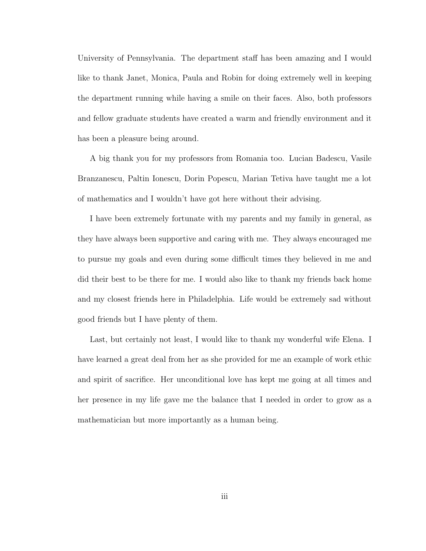University of Pennsylvania. The department staff has been amazing and I would like to thank Janet, Monica, Paula and Robin for doing extremely well in keeping the department running while having a smile on their faces. Also, both professors and fellow graduate students have created a warm and friendly environment and it has been a pleasure being around.

A big thank you for my professors from Romania too. Lucian Badescu, Vasile Branzanescu, Paltin Ionescu, Dorin Popescu, Marian Tetiva have taught me a lot of mathematics and I wouldn't have got here without their advising.

I have been extremely fortunate with my parents and my family in general, as they have always been supportive and caring with me. They always encouraged me to pursue my goals and even during some difficult times they believed in me and did their best to be there for me. I would also like to thank my friends back home and my closest friends here in Philadelphia. Life would be extremely sad without good friends but I have plenty of them.

Last, but certainly not least, I would like to thank my wonderful wife Elena. I have learned a great deal from her as she provided for me an example of work ethic and spirit of sacrifice. Her unconditional love has kept me going at all times and her presence in my life gave me the balance that I needed in order to grow as a mathematician but more importantly as a human being.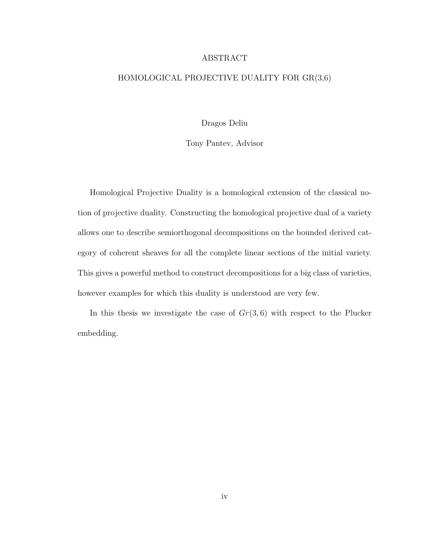#### ABSTRACT

#### HOMOLOGICAL PROJECTIVE DUALITY FOR GR(3,6)

Dragos Deliu

Tony Pantev, Advisor

Homological Projective Duality is a homological extension of the classical notion of projective duality. Constructing the homological projective dual of a variety allows one to describe semiorthogonal decompositions on the bounded derived category of coherent sheaves for all the complete linear sections of the initial variety. This gives a powerful method to construct decompositions for a big class of varieties, however examples for which this duality is understood are very few.

In this thesis we investigate the case of  $Gr(3,6)$  with respect to the Plucker embedding.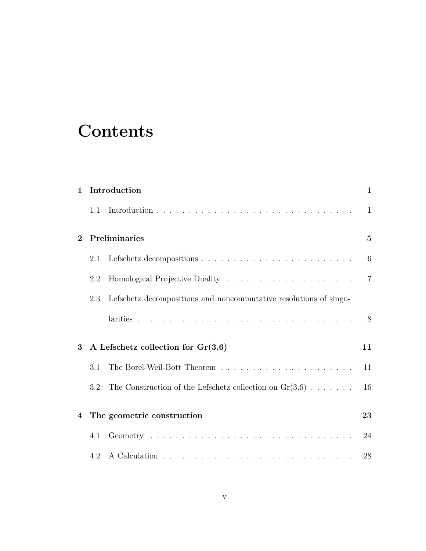# **Contents**

| $\mathbf{1}$   | Introduction                         |                                                                   |                 |
|----------------|--------------------------------------|-------------------------------------------------------------------|-----------------|
|                | 1.1                                  |                                                                   | 1               |
| $\overline{2}$ | Preliminaries                        |                                                                   |                 |
|                | 2.1                                  |                                                                   | $6\phantom{.}6$ |
|                | 2.2                                  |                                                                   | $\overline{7}$  |
|                | 2.3                                  | Lefschetz decompositions and noncommutative resolutions of singu- |                 |
|                |                                      |                                                                   | 8               |
| 3              | A Lefschetz collection for $Gr(3,6)$ |                                                                   | 11              |
|                | 3.1                                  |                                                                   | 11              |
|                | 3.2                                  | The Construction of the Lefschetz collection on $Gr(3,6)$         | 16              |
| $\bf{4}$       | The geometric construction           |                                                                   | 23              |
|                | 4.1                                  |                                                                   | 24              |
|                | 4.2                                  |                                                                   | 28              |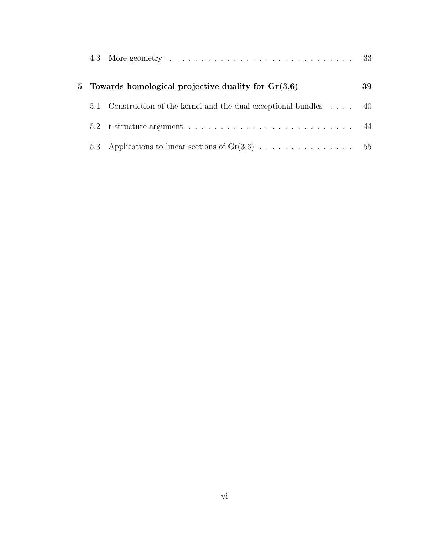|               | 5 Towards homological projective duality for $Gr(3,6)$      | 39 |
|---------------|-------------------------------------------------------------|----|
| 5.1           | Construction of the kernel and the dual exceptional bundles | 40 |
| $5.2^{\circ}$ |                                                             | 44 |
| 5.3           |                                                             |    |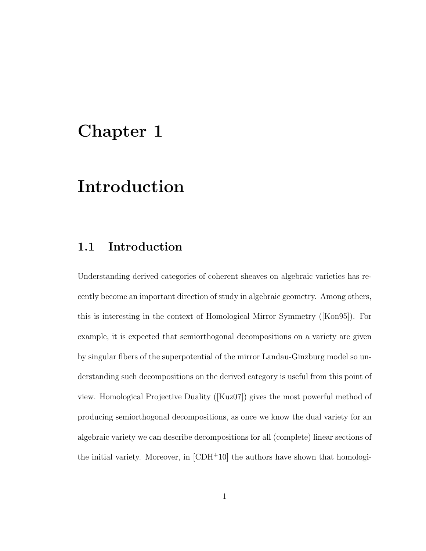# Chapter 1

# Introduction

### 1.1 Introduction

Understanding derived categories of coherent sheaves on algebraic varieties has recently become an important direction of study in algebraic geometry. Among others, this is interesting in the context of Homological Mirror Symmetry ([Kon95]). For example, it is expected that semiorthogonal decompositions on a variety are given by singular fibers of the superpotential of the mirror Landau-Ginzburg model so understanding such decompositions on the derived category is useful from this point of view. Homological Projective Duality ([Kuz07]) gives the most powerful method of producing semiorthogonal decompositions, as once we know the dual variety for an algebraic variety we can describe decompositions for all (complete) linear sections of the initial variety. Moreover, in  $[CDH^+10]$  the authors have shown that homologi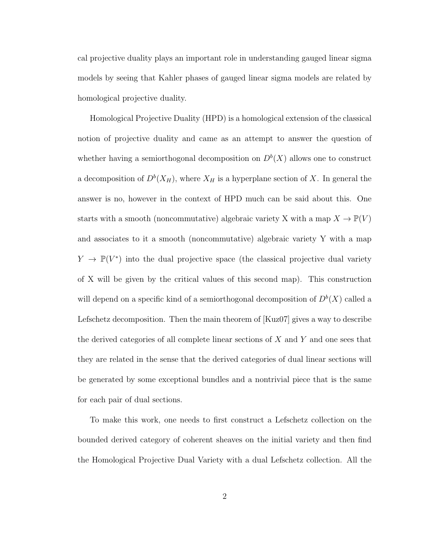cal projective duality plays an important role in understanding gauged linear sigma models by seeing that Kahler phases of gauged linear sigma models are related by homological projective duality.

Homological Projective Duality (HPD) is a homological extension of the classical notion of projective duality and came as an attempt to answer the question of whether having a semiorthogonal decomposition on  $D^b(X)$  allows one to construct a decomposition of  $D^b(X_H)$ , where  $X_H$  is a hyperplane section of X. In general the answer is no, however in the context of HPD much can be said about this. One starts with a smooth (noncommutative) algebraic variety X with a map  $X \to \mathbb{P}(V)$ and associates to it a smooth (noncommutative) algebraic variety Y with a map  $Y \to \mathbb{P}(V^*)$  into the dual projective space (the classical projective dual variety of X will be given by the critical values of this second map). This construction will depend on a specific kind of a semiorthogonal decomposition of  $D^b(X)$  called a Lefschetz decomposition. Then the main theorem of [Kuz07] gives a way to describe the derived categories of all complete linear sections of  $X$  and  $Y$  and one sees that they are related in the sense that the derived categories of dual linear sections will be generated by some exceptional bundles and a nontrivial piece that is the same for each pair of dual sections.

To make this work, one needs to first construct a Lefschetz collection on the bounded derived category of coherent sheaves on the initial variety and then find the Homological Projective Dual Variety with a dual Lefschetz collection. All the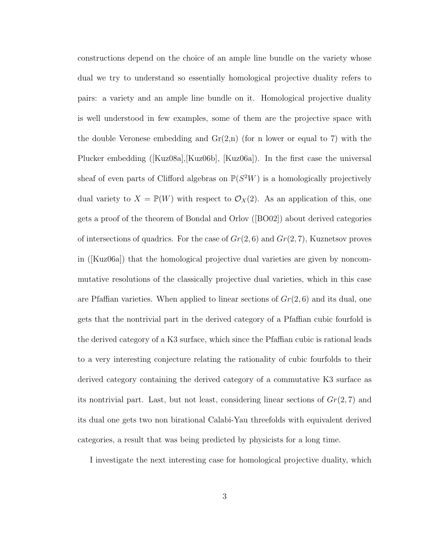constructions depend on the choice of an ample line bundle on the variety whose dual we try to understand so essentially homological projective duality refers to pairs: a variety and an ample line bundle on it. Homological projective duality is well understood in few examples, some of them are the projective space with the double Veronese embedding and  $Gr(2,n)$  (for n lower or equal to 7) with the Plucker embedding ([Kuz08a],[Kuz06b], [Kuz06a]). In the first case the universal sheaf of even parts of Clifford algebras on  $\mathbb{P}(S^2W)$  is a homologically projectively dual variety to  $X = \mathbb{P}(W)$  with respect to  $\mathcal{O}_X(2)$ . As an application of this, one gets a proof of the theorem of Bondal and Orlov ([BO02]) about derived categories of intersections of quadrics. For the case of  $Gr(2, 6)$  and  $Gr(2, 7)$ , Kuznetsov proves in ([Kuz06a]) that the homological projective dual varieties are given by noncommutative resolutions of the classically projective dual varieties, which in this case are Pfaffian varieties. When applied to linear sections of  $Gr(2, 6)$  and its dual, one gets that the nontrivial part in the derived category of a Pfaffian cubic fourfold is the derived category of a K3 surface, which since the Pfaffian cubic is rational leads to a very interesting conjecture relating the rationality of cubic fourfolds to their derived category containing the derived category of a commutative K3 surface as its nontrivial part. Last, but not least, considering linear sections of  $Gr(2, 7)$  and its dual one gets two non birational Calabi-Yau threefolds with equivalent derived categories, a result that was being predicted by physicists for a long time.

I investigate the next interesting case for homological projective duality, which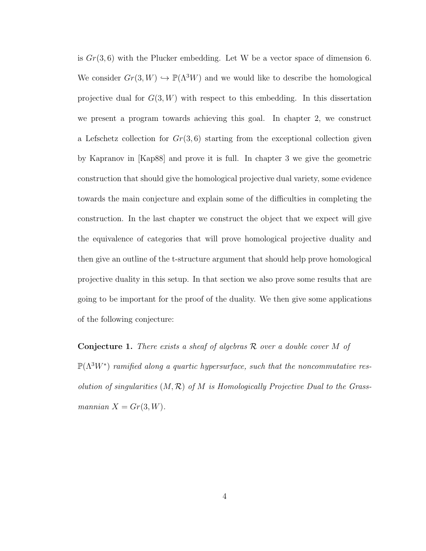is  $Gr(3, 6)$  with the Plucker embedding. Let W be a vector space of dimension 6. We consider  $Gr(3, W) \hookrightarrow \mathbb{P}(\Lambda^3 W)$  and we would like to describe the homological projective dual for  $G(3, W)$  with respect to this embedding. In this dissertation we present a program towards achieving this goal. In chapter 2, we construct a Lefschetz collection for  $Gr(3, 6)$  starting from the exceptional collection given by Kapranov in [Kap88] and prove it is full. In chapter 3 we give the geometric construction that should give the homological projective dual variety, some evidence towards the main conjecture and explain some of the difficulties in completing the construction. In the last chapter we construct the object that we expect will give the equivalence of categories that will prove homological projective duality and then give an outline of the t-structure argument that should help prove homological projective duality in this setup. In that section we also prove some results that are going to be important for the proof of the duality. We then give some applications of the following conjecture:

**Conjecture 1.** There exists a sheaf of algebras  $\mathcal{R}$  over a double cover  $M$  of  $\mathbb{P}(\Lambda^3 W^*)$  ramified along a quartic hypersurface, such that the noncommutative resolution of singularities  $(M, \mathcal{R})$  of M is Homologically Projective Dual to the Grassmannian  $X = Gr(3, W)$ .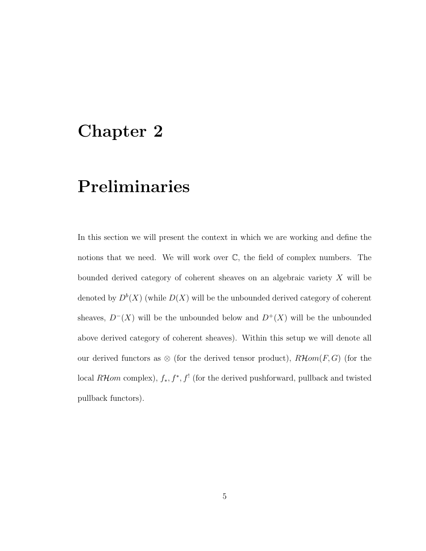# Chapter 2

# Preliminaries

In this section we will present the context in which we are working and define the notions that we need. We will work over  $\mathbb{C}$ , the field of complex numbers. The bounded derived category of coherent sheaves on an algebraic variety  $X$  will be denoted by  $D^b(X)$  (while  $D(X)$  will be the unbounded derived category of coherent sheaves,  $D^{-}(X)$  will be the unbounded below and  $D^{+}(X)$  will be the unbounded above derived category of coherent sheaves). Within this setup we will denote all our derived functors as  $\otimes$  (for the derived tensor product),  $R\mathcal{H}om(F, G)$  (for the local  $R\mathcal{H}$ om complex),  $f_*, f^*, f^!$  (for the derived pushforward, pullback and twisted pullback functors).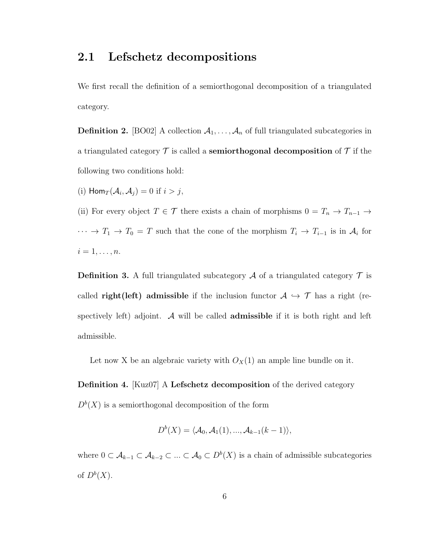### 2.1 Lefschetz decompositions

We first recall the definition of a semiorthogonal decomposition of a triangulated category.

**Definition 2.** [BO02] A collection  $A_1, \ldots, A_n$  of full triangulated subcategories in a triangulated category  $\mathcal T$  is called a **semiorthogonal decomposition** of  $\mathcal T$  if the following two conditions hold:

(i)  $\text{Hom}_T(\mathcal{A}_i, \mathcal{A}_j) = 0$  if  $i > j$ ,

(ii) For every object  $T \in \mathcal{T}$  there exists a chain of morphisms  $0 = T_n \to T_{n-1} \to$  $\cdots \rightarrow T_1 \rightarrow T_0 = T$  such that the cone of the morphism  $T_i \rightarrow T_{i-1}$  is in  $\mathcal{A}_i$  for  $i=1,\ldots,n.$ 

**Definition 3.** A full triangulated subcategory  $A$  of a triangulated category  $T$  is called **right(left)** admissible if the inclusion functor  $A \hookrightarrow \mathcal{T}$  has a right (respectively left) adjoint. A will be called **admissible** if it is both right and left admissible.

Let now X be an algebraic variety with  $O_X(1)$  an ample line bundle on it.

Definition 4. [Kuz07] A Lefschetz decomposition of the derived category  $D<sup>b</sup>(X)$  is a semiorthogonal decomposition of the form

$$
D^{b}(X) = \langle A_0, A_1(1), ..., A_{k-1}(k-1) \rangle,
$$

where  $0 \subset A_{k-1} \subset A_{k-2} \subset ... \subset A_0 \subset D^b(X)$  is a chain of admissible subcategories of  $D^b(X)$ .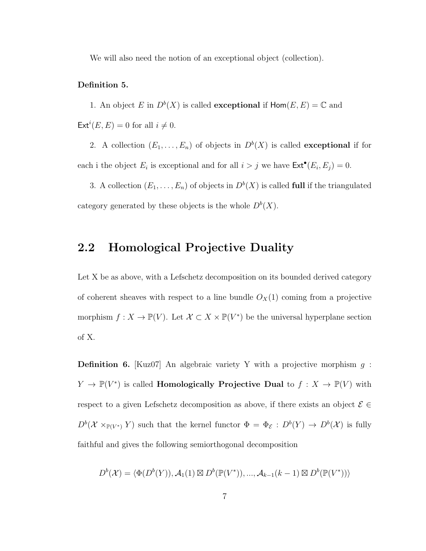We will also need the notion of an exceptional object (collection).

#### Definition 5.

1. An object E in  $D^b(X)$  is called **exceptional** if  $\text{Hom}(E, E) = \mathbb{C}$  and  $\mathsf{Ext}^i(E,E) = 0$  for all  $i \neq 0$ .

2. A collection  $(E_1, \ldots, E_n)$  of objects in  $D^b(X)$  is called **exceptional** if for each i the object  $E_i$  is exceptional and for all  $i > j$  we have  $\text{Ext}^{\bullet}(E_i, E_j) = 0$ .

3. A collection  $(E_1, \ldots, E_n)$  of objects in  $D^b(X)$  is called **full** if the triangulated category generated by these objects is the whole  $D^b(X)$ .

### 2.2 Homological Projective Duality

Let X be as above, with a Lefschetz decomposition on its bounded derived category of coherent sheaves with respect to a line bundle  $O_X(1)$  coming from a projective morphism  $f: X \to \mathbb{P}(V)$ . Let  $\mathcal{X} \subset X \times \mathbb{P}(V^*)$  be the universal hyperplane section of X.

**Definition 6.** [Kuz07] An algebraic variety Y with a projective morphism  $q$ :  $Y \to \mathbb{P}(V^*)$  is called **Homologically Projective Dual** to  $f : X \to \mathbb{P}(V)$  with respect to a given Lefschetz decomposition as above, if there exists an object  $\mathcal{E} \in$  $D^b(\mathcal{X} \times_{\mathbb{P}(V^*)} Y)$  such that the kernel functor  $\Phi = \Phi_{\mathcal{E}} : D^b(Y) \to D^b(\mathcal{X})$  is fully faithful and gives the following semiorthogonal decomposition

$$
D^{b}(\mathcal{X}) = \langle \Phi(D^{b}(Y)), \mathcal{A}_{1}(1) \boxtimes D^{b}(\mathbb{P}(V^{*})), ..., \mathcal{A}_{k-1}(k-1) \boxtimes D^{b}(\mathbb{P}(V^{*})) \rangle
$$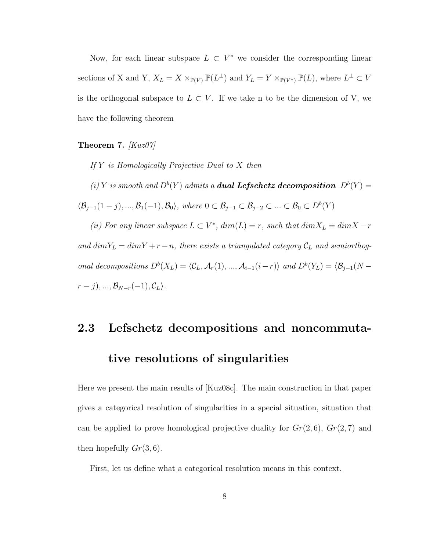Now, for each linear subspace  $L \subset V^*$  we consider the corresponding linear sections of X and Y,  $X_L = X \times_{\mathbb{P}(V)} \mathbb{P}(L^{\perp})$  and  $Y_L = Y \times_{\mathbb{P}(V^*)} \mathbb{P}(L)$ , where  $L^{\perp} \subset V$ is the orthogonal subspace to  $L \subset V$ . If we take n to be the dimension of V, we have the following theorem

Theorem 7.  $Kuz07$ 

If  $Y$  is Homologically Projective Dual to  $X$  then

(i) Y is smooth and  $D^b(Y)$  admits a **dual Lefschetz decomposition**  $D^b(Y)$  =  $\langle \mathcal{B}_{j-1}(1-j),...,\mathcal{B}_1(-1),\mathcal{B}_0\rangle$ , where  $0\subset \mathcal{B}_{j-1}\subset \mathcal{B}_{j-2}\subset ... \subset \mathcal{B}_0\subset D^b(Y)$ 

(ii) For any linear subspace  $L \subset V^*$ ,  $dim(L) = r$ , such that  $dim X_L = dim X - r$ and  $dimY_L = dimY + r - n$ , there exists a triangulated category  $\mathcal{C}_L$  and semiorthogonal decompositions  $D^b(X_L) = \langle \mathcal{C}_L, \mathcal{A}_r(1), ..., \mathcal{A}_{i-1}(i-r) \rangle$  and  $D^b(Y_L) = \langle \mathcal{B}_{j-1}(N - \mathcal{A}_{j-1}(i)) \rangle$  $r - j$ , ...,  $\mathcal{B}_{N-r}(-1)$ ,  $\mathcal{C}_L$ .

### 2.3 Lefschetz decompositions and noncommuta-

### tive resolutions of singularities

Here we present the main results of [Kuz08c]. The main construction in that paper gives a categorical resolution of singularities in a special situation, situation that can be applied to prove homological projective duality for  $Gr(2,6)$ ,  $Gr(2,7)$  and then hopefully  $Gr(3,6)$ .

First, let us define what a categorical resolution means in this context.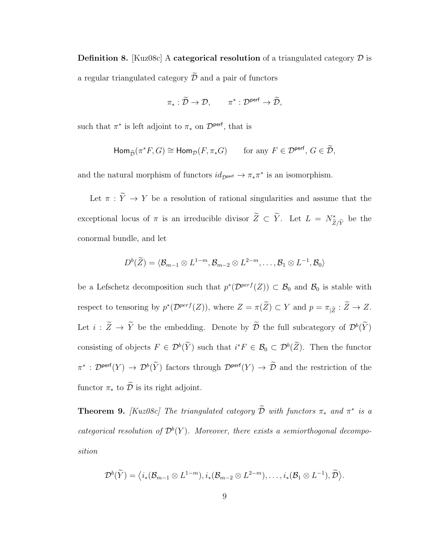**Definition 8.** [Kuz08c] A categorical resolution of a triangulated category  $\mathcal{D}$  is a regular triangulated category  $\widetilde{\mathcal{D}}$  and a pair of functors

$$
\pi_* : \widetilde{\mathcal{D}} \to \mathcal{D}, \qquad \pi^* : \mathcal{D}^{\text{perf}} \to \widetilde{\mathcal{D}},
$$

such that  $\pi^*$  is left adjoint to  $\pi_*$  on  $\mathcal{D}^{\text{perf}}$ , that is

$$
\mathsf{Hom}_{\widetilde{\mathcal{D}}}(\pi^*F, G) \cong \mathsf{Hom}_{\mathcal{D}}(F, \pi_*G) \qquad \text{for any } F \in \mathcal{D}^{\mathsf{perf}}, \, G \in \widetilde{\mathcal{D}},
$$

and the natural morphism of functors  $id_{\mathcal{D}^{\text{perf}}} \to \pi_* \pi^*$  is an isomorphism.

Let  $\pi : \widetilde{Y} \to Y$  be a resolution of rational singularities and assume that the exceptional locus of  $\pi$  is an irreducible divisor  $\widetilde{Z} \subset \widetilde{Y}$ . Let  $L = N^*_{\widetilde{Z}/\widetilde{Y}}$ be the conormal bundle, and let

$$
D^{b}(\widetilde{Z})=\langle \mathcal{B}_{m-1}\otimes L^{1-m}, \mathcal{B}_{m-2}\otimes L^{2-m},\ldots,\mathcal{B}_1\otimes L^{-1},\mathcal{B}_0\rangle
$$

be a Lefschetz decomposition such that  $p^*(\mathcal{D}^{perf}(Z)) \subset \mathcal{B}_0$  and  $\mathcal{B}_0$  is stable with respect to tensoring by  $p^*(\mathcal{D}^{perf}(Z))$ , where  $Z = \pi(\tilde{Z}) \subset Y$  and  $p = \pi_{|\tilde{Z}} : \tilde{Z} \to Z$ . Let  $i : \tilde{Z} \to \tilde{Y}$  be the embedding. Denote by  $\tilde{\mathcal{D}}$  the full subcategory of  $\mathcal{D}^b(\tilde{Y})$ consisting of objects  $F \in \mathcal{D}^b(\tilde{Y})$  such that  $i^*F \in \mathcal{B}_0 \subset \mathcal{D}^b(\tilde{Z})$ . Then the functor  $\pi^*: \mathcal{D}^{\text{perf}}(Y) \to \mathcal{D}^b(\tilde{Y})$  factors through  $\mathcal{D}^{\text{perf}}(Y) \to \tilde{\mathcal{D}}$  and the restriction of the functor  $\pi_*$  to  $\widetilde{\mathcal{D}}$  is its right adjoint.

**Theorem 9.** [Kuz08c] The triangulated category  $\tilde{\mathcal{D}}$  with functors  $\pi_*$  and  $\pi^*$  is a categorical resolution of  $\mathcal{D}^b(Y)$ . Moreover, there exists a semiorthogonal decomposition

$$
\mathcal{D}^{b}(\widetilde{Y})=\langle i_{*}(\mathcal{B}_{m-1}\otimes L^{1-m}), i_{*}(\mathcal{B}_{m-2}\otimes L^{2-m}),\ldots, i_{*}(\mathcal{B}_{1}\otimes L^{-1}), \widetilde{\mathcal{D}}\rangle.
$$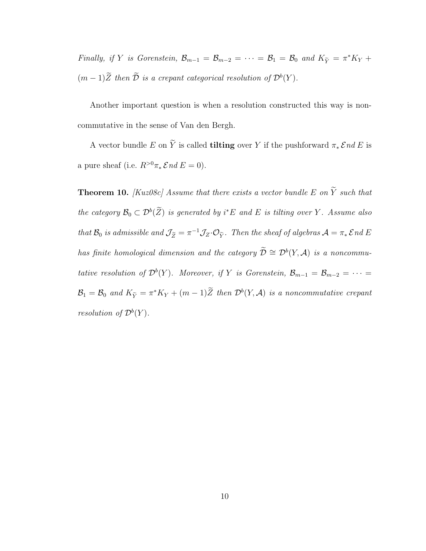Finally, if Y is Gorenstein,  $\mathcal{B}_{m-1} = \mathcal{B}_{m-2} = \cdots = \mathcal{B}_1 = \mathcal{B}_0$  and  $K_{\tilde{Y}} = \pi^* K_Y +$  $(m-1)\overline{Z}$  then  $\overline{\mathcal{D}}$  is a crepant categorical resolution of  $\mathcal{D}^b(Y)$ .

Another important question is when a resolution constructed this way is noncommutative in the sense of Van den Bergh.

A vector bundle E on  $\widetilde{Y}$  is called **tilting** over Y if the pushforward  $\pi_* \mathcal{E} nd E$  is a pure sheaf (i.e.  $R^{>0}\pi_*\mathcal{E}nd E = 0$ ).

**Theorem 10.** [Kuz08c] Assume that there exists a vector bundle E on  $\widetilde{Y}$  such that the category  $\mathcal{B}_0 \subset \mathcal{D}^b(\tilde{Z})$  is generated by  $i^*E$  and E is tilting over Y. Assume also that  $\mathcal{B}_0$  is admissible and  $\mathcal{J}_{\widetilde{Z}}=\pi^{-1}\mathcal{J}_Z\cdot\mathcal{O}_{\widetilde{Y}}$ . Then the sheaf of algebras  $\mathcal{A}=\pi_*\mathcal{E}$ nd E has finite homological dimension and the category  $\widetilde{\mathcal{D}}\cong \mathcal{D}^b(Y,\mathcal{A})$  is a noncommutative resolution of  $\mathcal{D}^b(Y)$ . Moreover, if Y is Gorenstein,  $\mathcal{B}_{m-1} = \mathcal{B}_{m-2} = \cdots =$  $\mathcal{B}_1 = \mathcal{B}_0$  and  $K_{\widetilde{Y}} = \pi^* K_Y + (m-1)\widetilde{Z}$  then  $\mathcal{D}^b(Y, \mathcal{A})$  is a noncommutative crepant resolution of  $\mathcal{D}^b(Y)$ .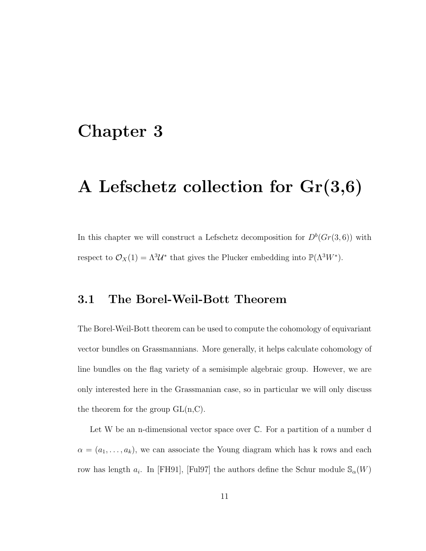# Chapter 3

# A Lefschetz collection for Gr(3,6)

In this chapter we will construct a Lefschetz decomposition for  $D^b(Gr(3,6))$  with respect to  $\mathcal{O}_X(1) = \Lambda^3 \mathcal{U}^*$  that gives the Plucker embedding into  $\mathbb{P}(\Lambda^3 W^*)$ .

### 3.1 The Borel-Weil-Bott Theorem

The Borel-Weil-Bott theorem can be used to compute the cohomology of equivariant vector bundles on Grassmannians. More generally, it helps calculate cohomology of line bundles on the flag variety of a semisimple algebraic group. However, we are only interested here in the Grassmanian case, so in particular we will only discuss the theorem for the group  $GL(n, C)$ .

Let W be an n-dimensional vector space over  $\mathbb C$ . For a partition of a number d  $\alpha = (a_1, \ldots, a_k)$ , we can associate the Young diagram which has k rows and each row has length  $a_i$ . In [FH91], [Ful97] the authors define the Schur module  $\mathcal{S}_{\alpha}(W)$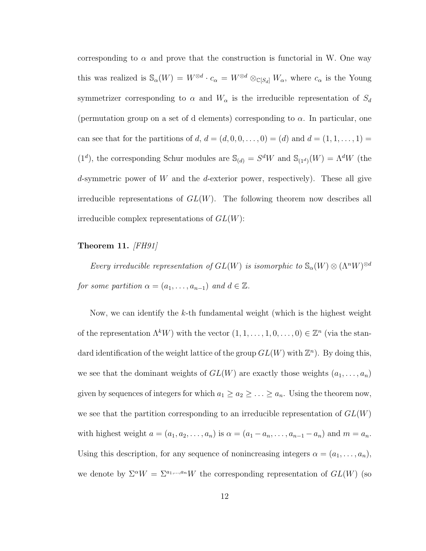corresponding to  $\alpha$  and prove that the construction is functorial in W. One way this was realized is  $\mathbb{S}_{\alpha}(W) = W^{\otimes d} \cdot c_{\alpha} = W^{\otimes d} \otimes_{\mathbb{C}[S_d]} W_{\alpha}$ , where  $c_{\alpha}$  is the Young symmetrizer corresponding to  $\alpha$  and  $W_{\alpha}$  is the irreducible representation of  $S_d$ (permutation group on a set of d elements) corresponding to  $\alpha$ . In particular, one can see that for the partitions of d,  $d = (d, 0, 0, \dots, 0) = (d)$  and  $d = (1, 1, \dots, 1) =$  $(1^d)$ , the corresponding Schur modules are  $\mathcal{S}_{(d)} = S^d W$  and  $\mathcal{S}_{(1^d)}(W) = \Lambda^d W$  (the d-symmetric power of W and the d-exterior power, respectively). These all give irreducible representations of  $GL(W)$ . The following theorem now describes all irreducible complex representations of  $GL(W)$ :

#### Theorem 11.  $\overline{FH91}$

Every irreducible representation of  $GL(W)$  is isomorphic to  $\mathbb{S}_{\alpha}(W) \otimes (\Lambda^n W)^{\otimes d}$ for some partition  $\alpha = (a_1, \ldots, a_{n-1})$  and  $d \in \mathbb{Z}$ .

Now, we can identify the k-th fundamental weight (which is the highest weight of the representation  $\Lambda^k W$ ) with the vector  $(1, 1, \ldots, 1, 0, \ldots, 0) \in \mathbb{Z}^n$  (via the standard identification of the weight lattice of the group  $GL(W)$  with  $\mathbb{Z}^n$ ). By doing this, we see that the dominant weights of  $GL(W)$  are exactly those weights  $(a_1, \ldots, a_n)$ given by sequences of integers for which  $a_1 \ge a_2 \ge \ldots \ge a_n$ . Using the theorem now, we see that the partition corresponding to an irreducible representation of  $GL(W)$ with highest weight  $a = (a_1, a_2, \dots, a_n)$  is  $\alpha = (a_1 - a_n, \dots, a_{n-1} - a_n)$  and  $m = a_n$ . Using this description, for any sequence of nonincreasing integers  $\alpha = (a_1, \ldots, a_n)$ , we denote by  $\Sigma^{\alpha}W = \Sigma^{a_1,\dots,a_n}W$  the corresponding representation of  $GL(W)$  (so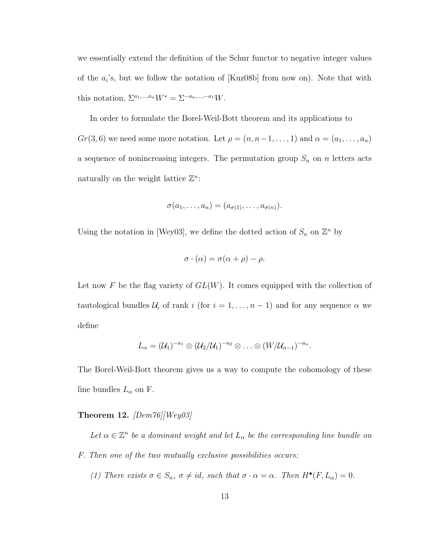we essentially extend the definition of the Schur functor to negative integer values of the  $a_i$ 's, but we follow the notation of [Kuz08b] from now on). Note that with this notation,  $\Sigma^{a_1,...,a_n} W^* = \Sigma^{-a_n,...,-a_1} W$ .

In order to formulate the Borel-Weil-Bott theorem and its applications to  $Gr(3, 6)$  we need some more notation. Let  $\rho = (n, n-1, \ldots, 1)$  and  $\alpha = (a_1, \ldots, a_n)$ a sequence of nonincreasing integers. The permutation group  $S_n$  on n letters acts naturally on the weight lattice  $\mathbb{Z}^n$ :

$$
\sigma(a_1,\ldots,a_n)=(a_{\sigma(1)},\ldots,a_{\sigma(n)}).
$$

Using the notation in [Wey03], we define the dotted action of  $S_n$  on  $\mathbb{Z}^n$  by

$$
\sigma \cdot (\alpha) = \sigma(\alpha + \rho) - \rho.
$$

Let now F be the flag variety of  $GL(W)$ . It comes equipped with the collection of tautological bundles  $U_i$  of rank i (for  $i = 1, ..., n - 1$ ) and for any sequence  $\alpha$  we define

$$
L_{\alpha}=(\mathcal{U}_1)^{-a_1}\otimes(\mathcal{U}_2/\mathcal{U}_1)^{-a_2}\otimes\ldots\otimes(W/\mathcal{U}_{n-1})^{-a_n}.
$$

The Borel-Weil-Bott theorem gives us a way to compute the cohomology of these line bundles  $L_{\alpha}$  on F.

#### **Theorem 12.** [Dem76][Wey03]

Let  $\alpha \in \mathbb{Z}^n$  be a dominant weight and let  $L_{\alpha}$  be the corresponding line bundle on F. Then one of the two mutually exclusive possibilities occurs:

(1) There exists  $\sigma \in S_n$ ,  $\sigma \neq id$ , such that  $\sigma \cdot \alpha = \alpha$ . Then  $H^{\bullet}(F, L_{\alpha}) = 0$ .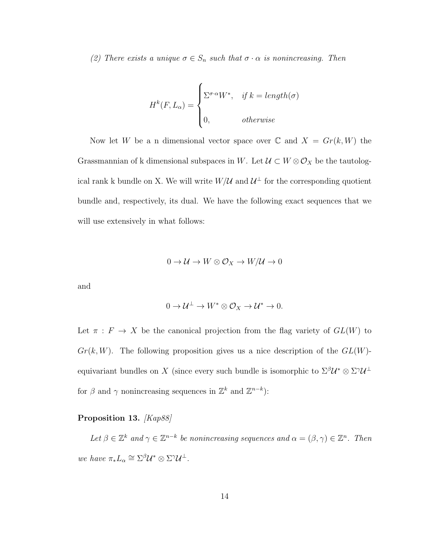(2) There exists a unique  $\sigma \in S_n$  such that  $\sigma \cdot \alpha$  is nonincreasing. Then

$$
H^{k}(F, L_{\alpha}) = \begin{cases} \sum^{\sigma \cdot \alpha} W^{*}, & \text{if } k = length(\sigma) \\ 0, & \text{otherwise} \end{cases}
$$

Now let W be a n dimensional vector space over  $\mathbb C$  and  $X = Gr(k, W)$  the Grassmannian of k dimensional subspaces in W. Let  $\mathcal{U} \subset W \otimes \mathcal{O}_X$  be the tautological rank k bundle on X. We will write  $W/\mathcal{U}$  and  $\mathcal{U}^{\perp}$  for the corresponding quotient bundle and, respectively, its dual. We have the following exact sequences that we will use extensively in what follows:

$$
0 \to \mathcal{U} \to W \otimes \mathcal{O}_X \to W/\mathcal{U} \to 0
$$

and

$$
0 \to \mathcal{U}^{\perp} \to W^* \otimes \mathcal{O}_X \to \mathcal{U}^* \to 0.
$$

Let  $\pi : F \to X$  be the canonical projection from the flag variety of  $GL(W)$  to  $Gr(k, W)$ . The following proposition gives us a nice description of the  $GL(W)$ equivariant bundles on X (since every such bundle is isomorphic to  $\Sigma^{\beta}U^* \otimes \Sigma^{\gamma}U^{\perp}$ for  $\beta$  and  $\gamma$  nonincreasing sequences in  $\mathbb{Z}^k$  and  $\mathbb{Z}^{n-k}$ :

#### Proposition 13. [Kap88]

Let  $\beta \in \mathbb{Z}^k$  and  $\gamma \in \mathbb{Z}^{n-k}$  be nonincreasing sequences and  $\alpha = (\beta, \gamma) \in \mathbb{Z}^n$ . Then we have  $\pi_* L_\alpha \cong \Sigma^\beta \mathcal{U}^* \otimes \Sigma^\gamma \mathcal{U}^\perp$ .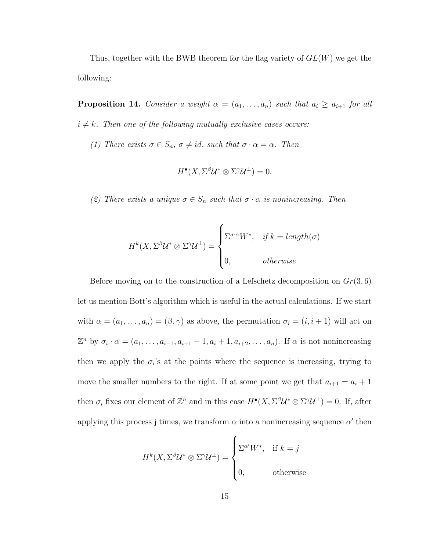Thus, together with the BWB theorem for the flag variety of  $GL(W)$  we get the following:

**Proposition 14.** Consider a weight  $\alpha = (a_1, \ldots, a_n)$  such that  $a_i \ge a_{i+1}$  for all  $i \neq k$ . Then one of the following mutually exclusive cases occurs:

(1) There exists  $\sigma \in S_n$ ,  $\sigma \neq id$ , such that  $\sigma \cdot \alpha = \alpha$ . Then

$$
H^{\bullet}(X, \Sigma^{\beta} \mathcal{U}^* \otimes \Sigma^{\gamma} \mathcal{U}^{\perp}) = 0.
$$

(2) There exists a unique  $\sigma \in S_n$  such that  $\sigma \cdot \alpha$  is nonincreasing. Then

$$
H^{k}(X, \Sigma^{\beta}U^* \otimes \Sigma^{\gamma}U^{\perp}) = \begin{cases} \Sigma^{\sigma \cdot \alpha}W^*, & \text{if } k = length(\sigma) \\ 0, & \text{otherwise} \end{cases}
$$

Before moving on to the construction of a Lefschetz decomposition on  $Gr(3, 6)$ let us mention Bott's algorithm which is useful in the actual calculations. If we start with  $\alpha = (a_1, \ldots, a_n) = (\beta, \gamma)$  as above, the permutation  $\sigma_i = (i, i + 1)$  will act on  $\mathbb{Z}^n$  by  $\sigma_i \cdot \alpha = (a_1, \ldots, a_{i-1}, a_{i+1} - 1, a_i + 1, a_{i+2}, \ldots, a_n)$ . If  $\alpha$  is not nonincreasing then we apply the  $\sigma_i$ 's at the points where the sequence is increasing, trying to move the smaller numbers to the right. If at some point we get that  $a_{i+1} = a_i + 1$ then  $\sigma_i$  fixes our element of  $\mathbb{Z}^n$  and in this case  $H^{\bullet}(X, \Sigma^{\beta} \mathcal{U}^* \otimes \Sigma^{\gamma} \mathcal{U}^{\perp}) = 0$ . If, after applying this process j times, we transform  $\alpha$  into a nonincreasing sequence  $\alpha'$  then

$$
H^{k}(X, \Sigma^{\beta} \mathcal{U}^* \otimes \Sigma^{\gamma} \mathcal{U}^{\perp}) = \begin{cases} \Sigma^{\alpha'} W^*, & \text{if } k = j \\ 0, & \text{otherwise} \end{cases}
$$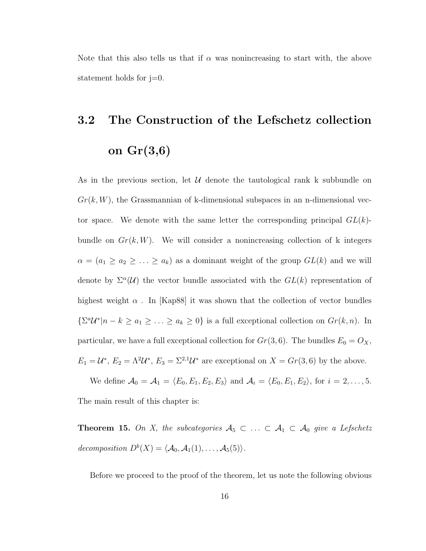Note that this also tells us that if  $\alpha$  was nonincreasing to start with, the above statement holds for j=0.

# 3.2 The Construction of the Lefschetz collection on Gr(3,6)

As in the previous section, let  $\mathcal U$  denote the tautological rank k subbundle on  $Gr(k, W)$ , the Grassmannian of k-dimensional subspaces in an n-dimensional vector space. We denote with the same letter the corresponding principal  $GL(k)$ bundle on  $Gr(k, W)$ . We will consider a nonincreasing collection of k integers  $\alpha = (a_1 \ge a_2 \ge ... \ge a_k)$  as a dominant weight of the group  $GL(k)$  and we will denote by  $\Sigma^{\alpha}(\mathcal{U})$  the vector bundle associated with the  $GL(k)$  representation of highest weight  $\alpha$ . In [Kap88] it was shown that the collection of vector bundles  ${\Sigma}^a \mathcal{U}^* | n - k \ge a_1 \ge \ldots \ge a_k \ge 0$  is a full exceptional collection on  $Gr(k, n)$ . In particular, we have a full exceptional collection for  $Gr(3, 6)$ . The bundles  $E_0 = O_X$ ,  $E_1 = \mathcal{U}^*, E_2 = \Lambda^2 \mathcal{U}^*, E_3 = \Sigma^{2,1} \mathcal{U}^*$  are exceptional on  $X = Gr(3,6)$  by the above.

We define  $\mathcal{A}_0 = \mathcal{A}_1 = \langle E_0, E_1, E_2, E_3 \rangle$  and  $\mathcal{A}_i = \langle E_0, E_1, E_2 \rangle$ , for  $i = 2, ..., 5$ . The main result of this chapter is:

**Theorem 15.** On X, the subcategories  $A_5 \subset \ldots \subset A_1 \subset A_0$  give a Lefschetz decomposition  $D^b(X) = \langle A_0, A_1(1), \ldots, A_5(5) \rangle$ .

Before we proceed to the proof of the theorem, let us note the following obvious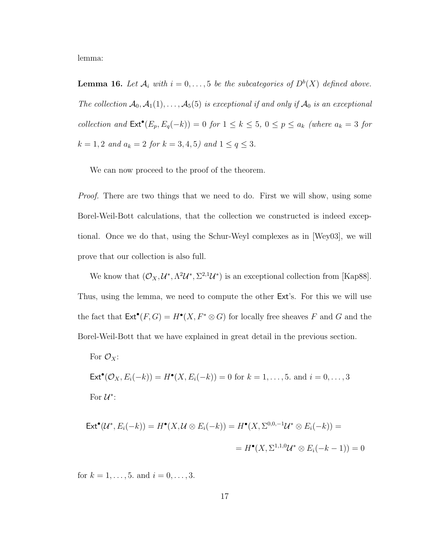lemma:

**Lemma 16.** Let  $\mathcal{A}_i$  with  $i = 0, \ldots, 5$  be the subcategories of  $D^b(X)$  defined above. The collection  $A_0, A_1(1), \ldots, A_5(5)$  is exceptional if and only if  $A_0$  is an exceptional collection and  $\text{Ext}^{\bullet}(E_p, E_q(-k)) = 0$  for  $1 \leq k \leq 5$ ,  $0 \leq p \leq a_k$  (where  $a_k = 3$  for  $k = 1, 2$  and  $a_k = 2$  for  $k = 3, 4, 5)$  and  $1 \le q \le 3$ .

We can now proceed to the proof of the theorem.

*Proof.* There are two things that we need to do. First we will show, using some Borel-Weil-Bott calculations, that the collection we constructed is indeed exceptional. Once we do that, using the Schur-Weyl complexes as in [Wey03], we will prove that our collection is also full.

We know that  $(\mathcal{O}_X, \mathcal{U}^*, \Lambda^2 \mathcal{U}^*, \Sigma^{2,1} \mathcal{U}^*)$  is an exceptional collection from [Kap88]. Thus, using the lemma, we need to compute the other Ext's. For this we will use the fact that  $\text{Ext}^{\bullet}(F, G) = H^{\bullet}(X, F^* \otimes G)$  for locally free sheaves F and G and the Borel-Weil-Bott that we have explained in great detail in the previous section.

For 
$$
\mathcal{O}_X
$$
:  
\n
$$
\text{Ext}^{\bullet}(\mathcal{O}_X, E_i(-k)) = H^{\bullet}(X, E_i(-k)) = 0 \text{ for } k = 1, ..., 5. \text{ and } i = 0, ..., 3
$$
\n
$$
\text{For } \mathcal{U}^* \colon
$$

$$
\operatorname{Ext}^{\bullet}(\mathcal{U}^*, E_i(-k)) = H^{\bullet}(X, \mathcal{U} \otimes E_i(-k)) = H^{\bullet}(X, \Sigma^{0,0,-1}\mathcal{U}^* \otimes E_i(-k)) =
$$
  
= 
$$
H^{\bullet}(X, \Sigma^{1,1,0}\mathcal{U}^* \otimes E_i(-k-1)) = 0
$$

for  $k = 1, ..., 5$ . and  $i = 0, ..., 3$ .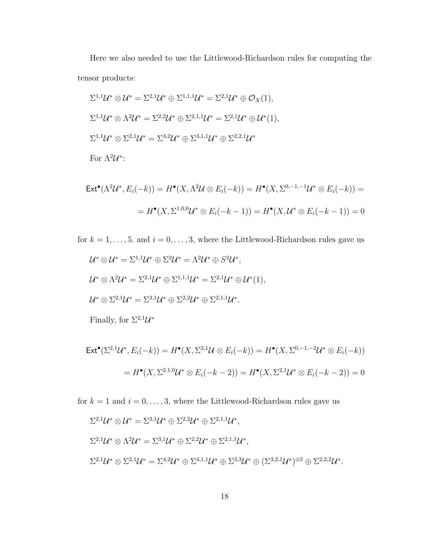Here we also needed to use the Littlewood-Richardson rules for computing the tensor products:

$$
\Sigma^{1,1}\mathcal{U}^* \otimes \mathcal{U}^* = \Sigma^{2,1}\mathcal{U}^* \oplus \Sigma^{1,1,1}\mathcal{U}^* = \Sigma^{2,1}\mathcal{U}^* \oplus \mathcal{O}_X(1),
$$
  
\n
$$
\Sigma^{1,1}\mathcal{U}^* \otimes \Lambda^2 \mathcal{U}^* = \Sigma^{2,2}\mathcal{U}^* \oplus \Sigma^{2,1,1}\mathcal{U}^* = \Sigma^{2,1}\mathcal{U}^* \oplus \mathcal{U}^*(1),
$$
  
\n
$$
\Sigma^{1,1}\mathcal{U}^* \otimes \Sigma^{2,1}\mathcal{U}^* = \Sigma^{3,2}\mathcal{U}^* \oplus \Sigma^{3,1,1}\mathcal{U}^* \oplus \Sigma^{2,2,1}\mathcal{U}^*
$$
  
\nFor  $\Lambda^2\mathcal{U}^*$ :  
\n
$$
\Sigma^{1,2}\mathcal{U}^* \oplus \Sigma^{1,2}\mathcal{U}^* \oplus \Sigma^{1,2}\mathcal{U}^* \oplus \Sigma^{1,2}\mathcal{U}^* \oplus \Sigma^{1,2}\mathcal{U}^* \oplus \Sigma^{1,2}\mathcal{U}^* \oplus \Sigma^{1,2}\mathcal{U}^* \oplus \Sigma^{1,2}\mathcal{U}^* \oplus \Sigma^{1,2}\mathcal{U}^* \oplus \Sigma^{1,2}\mathcal{U}^* \oplus \Sigma^{1,2}\mathcal{U}^* \oplus \Sigma^{1,2}\mathcal{U}^* \oplus \Sigma^{1,2}\mathcal{U}^* \oplus \Sigma^{1,2}\mathcal{U}^* \oplus \Sigma^{1,2}\mathcal{U}^* \oplus \Sigma^{1,2}\mathcal{U}^* \oplus \Sigma^{1,2}\mathcal{U}^* \oplus \Sigma^{1,2}\mathcal{U}^* \oplus \Sigma^{1,2}\mathcal{U}^* \oplus \Sigma^{1,2}\mathcal{U}^* \oplus \Sigma^{1,2}\mathcal{U}^* \oplus \Sigma^{1,2}\mathcal{U}^* \oplus \Sigma^{1,2}\mathcal{U}^* \oplus \Sigma^{1,2}\mathcal{U}^* \oplus \Sigma^{1,2}\mathcal{U}^* \oplus \Sigma^{1,2}\mathcal{U}^* \oplus \Sigma^{
$$

$$
\mathsf{Ext}^{\bullet}(\Lambda^2 \mathcal{U}^*, E_i(-k)) = H^{\bullet}(X, \Lambda^2 \mathcal{U} \otimes E_i(-k)) = H^{\bullet}(X, \Sigma^{0,-1,-1} \mathcal{U}^* \otimes E_i(-k)) =
$$
  
=  $H^{\bullet}(X, \Sigma^{1,0,0} \mathcal{U}^* \otimes E_i(-k-1)) = H^{\bullet}(X, \mathcal{U}^* \otimes E_i(-k-1)) = 0$ 

for  $k = 1, \ldots, 5$ . and  $i = 0, \ldots, 3$ , where the Littlewood-Richardson rules gave us

$$
\mathcal{U}^* \otimes \mathcal{U}^* = \Sigma^{1,1} \mathcal{U}^* \oplus \Sigma^2 \mathcal{U}^* = \Lambda^2 \mathcal{U}^* \oplus S^2 \mathcal{U}^*,
$$
  

$$
\mathcal{U}^* \otimes \Lambda^2 \mathcal{U}^* = \Sigma^{2,1} \mathcal{U}^* \oplus \Sigma^{1,1,1} \mathcal{U}^* = \Sigma^{2,1} \mathcal{U}^* \oplus \mathcal{U}^*(1),
$$
  

$$
\mathcal{U}^* \otimes \Sigma^{2,1} \mathcal{U}^* = \Sigma^{3,1} \mathcal{U}^* \oplus \Sigma^{2,2} \mathcal{U}^* \oplus \Sigma^{2,1,1} \mathcal{U}^*.
$$
  
Finally, for  $\Sigma^{2,1} \mathcal{U}^*$ 

$$
\mathsf{Ext}^{\bullet}(\Sigma^{2,1}\mathcal{U}^*, E_i(-k)) = H^{\bullet}(X, \Sigma^{2,1}\mathcal{U} \otimes E_i(-k)) = H^{\bullet}(X, \Sigma^{0,-1,-2}\mathcal{U}^* \otimes E_i(-k))
$$

$$
= H^{\bullet}(X, \Sigma^{2,1,0}\mathcal{U}^* \otimes E_i(-k-2)) = H^{\bullet}(X, \Sigma^{2,1}\mathcal{U}^* \otimes E_i(-k-2)) = 0
$$

for  $k = 1$  and  $i = 0, \ldots, 3$ , where the Littlewood-Richardson rules gave us

$$
\Sigma^{2,1}\mathcal{U}^* \otimes \mathcal{U}^* = \Sigma^{3,1}\mathcal{U}^* \oplus \Sigma^{2,2}\mathcal{U}^* \oplus \Sigma^{2,1,1}\mathcal{U}^*,
$$
  
\n
$$
\Sigma^{2,1}\mathcal{U}^* \otimes \Lambda^2\mathcal{U}^* = \Sigma^{3,1}\mathcal{U}^* \oplus \Sigma^{2,2}\mathcal{U}^* \oplus \Sigma^{2,1,1}\mathcal{U}^*,
$$
  
\n
$$
\Sigma^{2,1}\mathcal{U}^* \otimes \Sigma^{2,1}\mathcal{U}^* = \Sigma^{4,2}\mathcal{U}^* \oplus \Sigma^{4,1,1}\mathcal{U}^* \oplus \Sigma^{3,3}\mathcal{U}^* \oplus (\Sigma^{3,2,1}\mathcal{U}^*)^{\oplus 2} \oplus \Sigma^{2,2,2}\mathcal{U}^*.
$$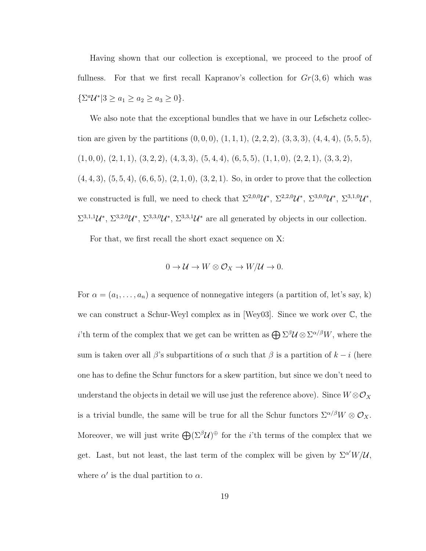Having shown that our collection is exceptional, we proceed to the proof of fullness. For that we first recall Kapranov's collection for  $Gr(3, 6)$  which was  ${\{\Sigma^a \mathcal{U}^* | 3 \ge a_1 \ge a_2 \ge a_3 \ge 0\}}.$ 

We also note that the exceptional bundles that we have in our Lefschetz collection are given by the partitions  $(0, 0, 0)$ ,  $(1, 1, 1)$ ,  $(2, 2, 2)$ ,  $(3, 3, 3)$ ,  $(4, 4, 4)$ ,  $(5, 5, 5)$ ,  $(1, 0, 0), (2, 1, 1), (3, 2, 2), (4, 3, 3), (5, 4, 4), (6, 5, 5), (1, 1, 0), (2, 2, 1), (3, 3, 2),$  $(4, 4, 3), (5, 5, 4), (6, 6, 5), (2, 1, 0), (3, 2, 1).$  So, in order to prove that the collection we constructed is full, we need to check that  $\Sigma^{2,0,0}\mathcal{U}^*, \Sigma^{2,2,0}\mathcal{U}^*, \Sigma^{3,0,0}\mathcal{U}^*, \Sigma^{3,1,0}\mathcal{U}^*,$  $\Sigma^{3,1,1}\mathcal{U}^*, \Sigma^{3,2,0}\mathcal{U}^*, \Sigma^{3,3,0}\mathcal{U}^*, \Sigma^{3,3,1}\mathcal{U}^*$  are all generated by objects in our collection.

For that, we first recall the short exact sequence on X:

$$
0 \to \mathcal{U} \to W \otimes \mathcal{O}_X \to W/\mathcal{U} \to 0.
$$

For  $\alpha = (a_1, \ldots, a_n)$  a sequence of nonnegative integers (a partition of, let's say, k) we can construct a Schur-Weyl complex as in [Wey03]. Since we work over C, the *i*'th term of the complex that we get can be written as  $\bigoplus \Sigma^{\beta} \mathcal{U} \otimes \Sigma^{\alpha/\beta} W$ , where the sum is taken over all  $\beta$ 's subpartitions of  $\alpha$  such that  $\beta$  is a partition of  $k - i$  (here one has to define the Schur functors for a skew partition, but since we don't need to understand the objects in detail we will use just the reference above). Since  $W \otimes \mathcal{O}_X$ is a trivial bundle, the same will be true for all the Schur functors  $\Sigma^{\alpha/\beta}W \otimes \mathcal{O}_X$ . Moreover, we will just write  $\bigoplus (\Sigma^{\beta} \mathcal{U})^{\oplus}$  for the *i*'th terms of the complex that we get. Last, but not least, the last term of the complex will be given by  $\Sigma^{\alpha'}W/\mathcal{U}$ , where  $\alpha'$  is the dual partition to  $\alpha$ .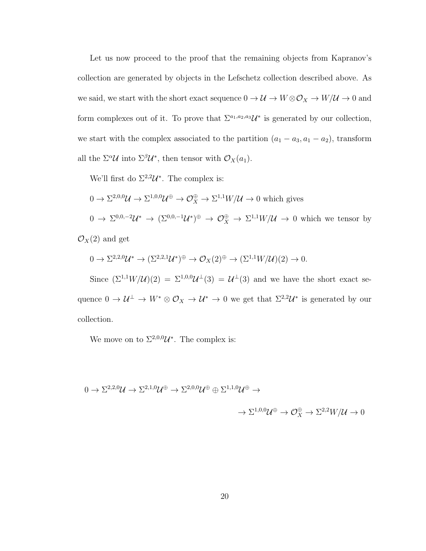Let us now proceed to the proof that the remaining objects from Kapranov's collection are generated by objects in the Lefschetz collection described above. As we said, we start with the short exact sequence  $0 \to \mathcal{U} \to W \otimes \mathcal{O}_X \to W/\mathcal{U} \to 0$  and form complexes out of it. To prove that  $\Sigma^{a_1, a_2, a_3} \mathcal{U}^*$  is generated by our collection, we start with the complex associated to the partition  $(a_1 - a_3, a_1 - a_2)$ , transform all the  $\Sigma^{\alpha} \mathcal{U}$  into  $\Sigma^{\beta} \mathcal{U}^*$ , then tensor with  $\mathcal{O}_X(a_1)$ .

We'll first do  $\Sigma^{2,2}\mathcal{U}^*$ . The complex is:

$$
0 \to \Sigma^{2,0,0} \mathcal{U} \to \Sigma^{1,0,0} \mathcal{U}^{\oplus} \to \mathcal{O}_X^{\oplus} \to \Sigma^{1,1} W/\mathcal{U} \to 0
$$
 which gives  

$$
0 \to \Sigma^{0,0,-2} \mathcal{U}^* \to (\Sigma^{0,0,-1} \mathcal{U}^*)^{\oplus} \to \mathcal{O}_X^{\oplus} \to \Sigma^{1,1} W/\mathcal{U} \to 0
$$
 which we tensor by

 $\mathcal{O}_X(2)$  and get

$$
0 \to \Sigma^{2,2,0} \mathcal{U}^* \to (\Sigma^{2,2,1} \mathcal{U}^*)^{\oplus} \to \mathcal{O}_X(2)^{\oplus} \to (\Sigma^{1,1} W/\mathcal{U})(2) \to 0.
$$

Since  $(\Sigma^{1,1}W/\mathcal{U})(2) = \Sigma^{1,0,0}\mathcal{U}^{\perp}(3) = \mathcal{U}^{\perp}(3)$  and we have the short exact sequence  $0 \to \mathcal{U}^{\perp} \to W^* \otimes \mathcal{O}_X \to \mathcal{U}^* \to 0$  we get that  $\Sigma^{2,2} \mathcal{U}^*$  is generated by our collection.

We move on to  $\Sigma^{2,0,0}\mathcal{U}^*$ . The complex is:

$$
0 \to \Sigma^{2,2,0} \mathcal{U} \to \Sigma^{2,1,0} \mathcal{U}^{\oplus} \to \Sigma^{2,0,0} \mathcal{U}^{\oplus} \oplus \Sigma^{1,1,0} \mathcal{U}^{\oplus} \to
$$

$$
\to \Sigma^{1,0,0} \mathcal{U}^{\oplus} \to \mathcal{O}_{X}^{\oplus} \to \Sigma^{2,2} W / \mathcal{U} \to 0
$$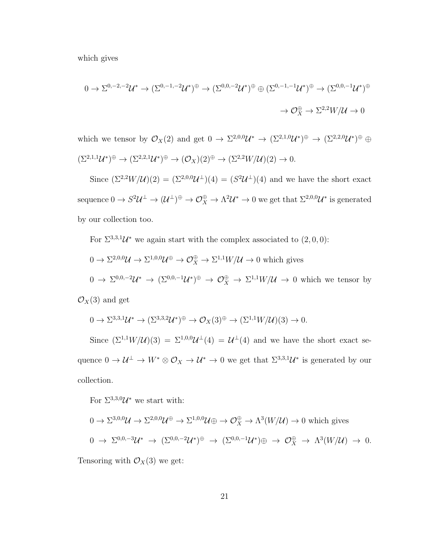which gives

$$
0 \to \Sigma^{0,-2,-2} \mathcal{U}^* \to (\Sigma^{0,-1,-2} \mathcal{U}^*)^{\oplus} \to (\Sigma^{0,0,-2} \mathcal{U}^*)^{\oplus} \oplus (\Sigma^{0,-1,-1} \mathcal{U}^*)^{\oplus} \to (\Sigma^{0,0,-1} \mathcal{U}^*)^{\oplus}
$$

$$
\to \mathcal{O}_X^{\oplus} \to \Sigma^{2,2} W / \mathcal{U} \to 0
$$

which we tensor by  $\mathcal{O}_X(2)$  and get  $0 \to \Sigma^{2,0,0} \mathcal{U}^* \to (\Sigma^{2,1,0} \mathcal{U}^*)^\oplus \to (\Sigma^{2,2,0} \mathcal{U}^*)^\oplus \oplus$  $(\Sigma^{2,1,1}\mathcal{U}^*)^{\oplus} \to (\Sigma^{2,2,1}\mathcal{U}^*)^{\oplus} \to (\mathcal{O}_X)(2)^{\oplus} \to (\Sigma^{2,2}W/\mathcal{U})(2) \to 0.$ 

Since  $(\Sigma^{2,2}W/\mathcal{U})(2) = (\Sigma^{2,0,0}\mathcal{U}^{\perp})(4) = (S^2\mathcal{U}^{\perp})(4)$  and we have the short exact sequence  $0 \to S^2 \mathcal{U}^\perp \to (\mathcal{U}^\perp)^\oplus \to \mathcal{O}_X^\oplus \to \Lambda^2 \mathcal{U}^* \to 0$  we get that  $\Sigma^{2,0,0} \mathcal{U}^*$  is generated by our collection too.

For  $\Sigma^{3,3,1}\mathcal{U}^*$  we again start with the complex associated to  $(2,0,0)$ :

$$
0 \to \Sigma^{2,0,0} \mathcal{U} \to \Sigma^{1,0,0} \mathcal{U}^{\oplus} \to \mathcal{O}_X^{\oplus} \to \Sigma^{1,1} W/\mathcal{U} \to 0
$$
 which gives  

$$
0 \to \Sigma^{0,0,-2} \mathcal{U}^* \to (\Sigma^{0,0,-1} \mathcal{U}^*)^{\oplus} \to \mathcal{O}_X^{\oplus} \to \Sigma^{1,1} W/\mathcal{U} \to 0
$$
 which we tensor by

 $\mathcal{O}_X(3)$  and get

$$
0 \to \Sigma^{3,3,1} \mathcal{U}^* \to (\Sigma^{3,3,2} \mathcal{U}^*)^{\oplus} \to \mathcal{O}_X(3)^{\oplus} \to (\Sigma^{1,1} W/\mathcal{U})(3) \to 0.
$$

Since  $(\Sigma^{1,1}W/\mathcal{U})(3) = \Sigma^{1,0,0}\mathcal{U}^{\perp}(4) = \mathcal{U}^{\perp}(4)$  and we have the short exact sequence  $0 \to \mathcal{U}^{\perp} \to W^* \otimes \mathcal{O}_X \to \mathcal{U}^* \to 0$  we get that  $\Sigma^{3,3,1} \mathcal{U}^*$  is generated by our collection.

For  $\Sigma^{3,3,0}\mathcal{U}^*$  we start with:

$$
0 \to \Sigma^{3,0,0} \mathcal{U} \to \Sigma^{2,0,0} \mathcal{U}^{\oplus} \to \Sigma^{1,0,0} \mathcal{U} \oplus \to \mathcal{O}_X^{\oplus} \to \Lambda^3(W/\mathcal{U}) \to 0 \text{ which gives}
$$
  

$$
0 \to \Sigma^{0,0,-3} \mathcal{U}^* \to (\Sigma^{0,0,-2} \mathcal{U}^*)^{\oplus} \to (\Sigma^{0,0,-1} \mathcal{U}^*)^{\oplus} \to \mathcal{O}_X^{\oplus} \to \Lambda^3(W/\mathcal{U}) \to 0.
$$

Tensoring with  $\mathcal{O}_X(3)$  we get: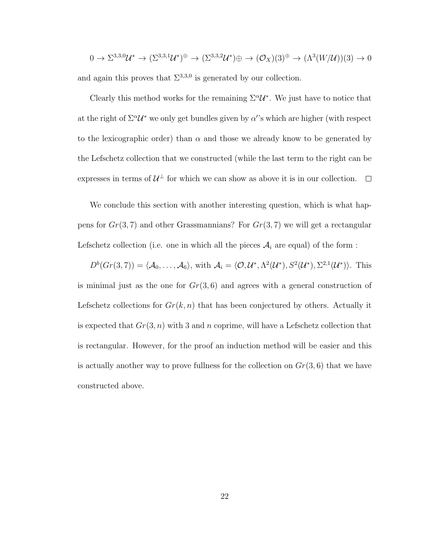$$
0 \to \Sigma^{3,3,0} \mathcal{U}^* \to (\Sigma^{3,3,1} \mathcal{U}^*)^{\oplus} \to (\Sigma^{3,3,2} \mathcal{U}^*) \oplus \to (\mathcal{O}_X)(3)^{\oplus} \to (\Lambda^3(W/\mathcal{U}))(3) \to 0
$$

and again this proves that  $\Sigma^{3,3,0}$  is generated by our collection.

Clearly this method works for the remaining  $\Sigma^{\alpha}U^*$ . We just have to notice that at the right of  $\Sigma^{\alpha}U^*$  we only get bundles given by  $\alpha$ 's which are higher (with respect to the lexicographic order) than  $\alpha$  and those we already know to be generated by the Lefschetz collection that we constructed (while the last term to the right can be expresses in terms of  $\mathcal{U}^{\perp}$  for which we can show as above it is in our collection.

We conclude this section with another interesting question, which is what happens for  $Gr(3, 7)$  and other Grassmannians? For  $Gr(3, 7)$  we will get a rectangular Lefschetz collection (i.e. one in which all the pieces  $A_i$  are equal) of the form :

 $D^b(Gr(3,7)) = \langle A_0, \ldots, A_6 \rangle$ , with  $A_i = \langle O, \mathcal{U}^*, \Lambda^2(\mathcal{U}^*), S^2(\mathcal{U}^*), \Sigma^{2,1}(\mathcal{U}^*) \rangle$ . This

is minimal just as the one for  $Gr(3, 6)$  and agrees with a general construction of Lefschetz collections for  $Gr(k, n)$  that has been conjectured by others. Actually it is expected that  $Gr(3, n)$  with 3 and n coprime, will have a Lefschetz collection that is rectangular. However, for the proof an induction method will be easier and this is actually another way to prove fullness for the collection on  $Gr(3, 6)$  that we have constructed above.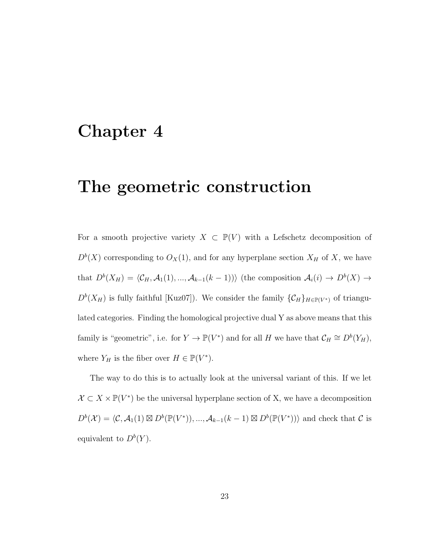# Chapter 4

# The geometric construction

For a smooth projective variety  $X \subset \mathbb{P}(V)$  with a Lefschetz decomposition of  $D^{b}(X)$  corresponding to  $O_{X}(1)$ , and for any hyperplane section  $X_{H}$  of X, we have that  $D^{b}(X_{H}) = \langle C_{H}, \mathcal{A}_{1}(1), ..., \mathcal{A}_{k-1}(k-1) \rangle$  (the composition  $\mathcal{A}_{i}(i) \to D^{b}(X) \to$  $D^{b}(X_H)$  is fully faithful [Kuz07]). We consider the family  $\{\mathcal{C}_H\}_{H \in \mathbb{P}(V^*)}$  of triangulated categories. Finding the homological projective dual Y as above means that this family is "geometric", i.e. for  $Y \to \mathbb{P}(V^*)$  and for all H we have that  $\mathcal{C}_H \cong D^b(Y_H)$ , where  $Y_H$  is the fiber over  $H \in \mathbb{P}(V^*)$ .

The way to do this is to actually look at the universal variant of this. If we let  $\mathcal{X} \subset X \times \mathbb{P}(V^*)$  be the universal hyperplane section of X, we have a decomposition  $D^b(\mathcal{X}) = \langle C, \mathcal{A}_1(1) \boxtimes D^b(\mathbb{P}(V^*)), ..., \mathcal{A}_{k-1}(k-1) \boxtimes D^b(\mathbb{P}(V^*)) \rangle$  and check that C is equivalent to  $D^b(Y)$ .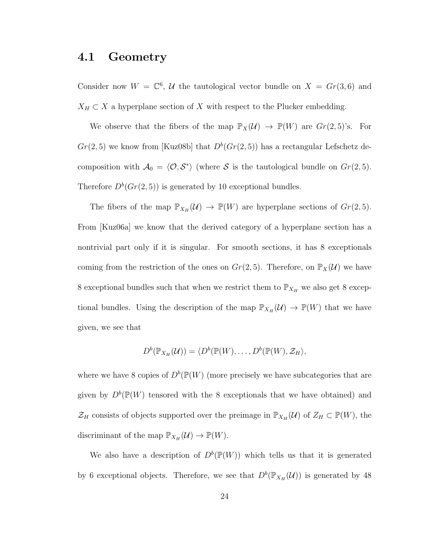#### 4.1 Geometry

Consider now  $W = \mathbb{C}^6$ , U the tautological vector bundle on  $X = Gr(3, 6)$  and  $X_H \subset X$  a hyperplane section of X with respect to the Plucker embedding.

We observe that the fibers of the map  $\mathbb{P}_X(\mathcal{U}) \to \mathbb{P}(W)$  are  $Gr(2, 5)$ 's. For  $Gr(2, 5)$  we know from [Kuz08b] that  $D<sup>b</sup>(Gr(2, 5))$  has a rectangular Lefschetz decomposition with  $A_0 = \langle \mathcal{O}, \mathcal{S}^* \rangle$  (where S is the tautological bundle on  $Gr(2, 5)$ . Therefore  $D^b(Gr(2,5))$  is generated by 10 exceptional bundles.

The fibers of the map  $\mathbb{P}_{X_H}(\mathcal{U}) \to \mathbb{P}(W)$  are hyperplane sections of  $Gr(2, 5)$ . From [Kuz06a] we know that the derived category of a hyperplane section has a nontrivial part only if it is singular. For smooth sections, it has 8 exceptionals coming from the restriction of the ones on  $Gr(2, 5)$ . Therefore, on  $\mathbb{P}_X(\mathcal{U})$  we have 8 exceptional bundles such that when we restrict them to  $\mathbb{P}_{X_H}$  we also get 8 exceptional bundles. Using the description of the map  $\mathbb{P}_{X_H}(\mathcal{U}) \to \mathbb{P}(W)$  that we have given, we see that

$$
D^{b}(\mathbb{P}_{X_H}(\mathcal{U})) = \langle D^{b}(\mathbb{P}(W), \ldots, D^{b}(\mathbb{P}(W), \mathcal{Z}_H),
$$

where we have 8 copies of  $D^b(\mathbb{P}(W)$  (more precisely we have subcategories that are given by  $D^b(\mathbb{P}(W)$  tensored with the 8 exceptionals that we have obtained) and  $\mathcal{Z}_H$  consists of objects supported over the preimage in  $\mathbb{P}_{X_H}(\mathcal{U})$  of  $Z_H \subset \mathbb{P}(W)$ , the discriminant of the map  $\mathbb{P}_{X_H}(\mathcal{U}) \to \mathbb{P}(W)$ .

We also have a description of  $D^b(\mathbb{P}(W))$  which tells us that it is generated by 6 exceptional objects. Therefore, we see that  $D^b(\mathbb{P}_{X_H}(\mathcal{U}))$  is generated by 48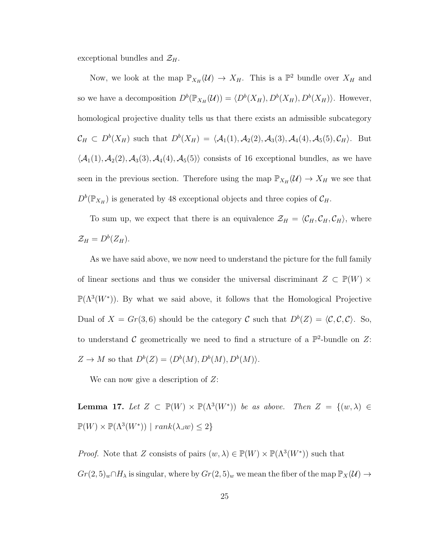exceptional bundles and  $\mathcal{Z}_H$ .

Now, we look at the map  $\mathbb{P}_{X_H}(\mathcal{U}) \to X_H$ . This is a  $\mathbb{P}^2$  bundle over  $X_H$  and so we have a decomposition  $D^b(\mathbb{P}_{X_H}(\mathcal{U})) = \langle D^b(X_H), D^b(X_H), D^b(X_H) \rangle$ . However, homological projective duality tells us that there exists an admissible subcategory  $\mathcal{C}_H \subset D^b(X_H)$  such that  $D^b(X_H) = \langle A_1(1), A_2(2), A_3(3), A_4(4), A_5(5), C_H \rangle$ . But  $\langle A_1(1), A_2(2), A_3(3), A_4(4), A_5(5) \rangle$  consists of 16 exceptional bundles, as we have seen in the previous section. Therefore using the map  $\mathbb{P}_{X_H}(\mathcal{U}) \to X_H$  we see that  $D^b(\mathbb{P}_{X_H})$  is generated by 48 exceptional objects and three copies of  $\mathcal{C}_H$ .

To sum up, we expect that there is an equivalence  $\mathcal{Z}_H = \langle C_H, C_H, C_H \rangle$ , where  $\mathcal{Z}_H = D^b(Z_H).$ 

As we have said above, we now need to understand the picture for the full family of linear sections and thus we consider the universal discriminant  $Z \subset \mathbb{P}(W) \times$  $\mathbb{P}(\Lambda^3(W^*))$ . By what we said above, it follows that the Homological Projective Dual of  $X = Gr(3, 6)$  should be the category C such that  $D<sup>b</sup>(Z) = \langle C, C, C \rangle$ . So, to understand C geometrically we need to find a structure of a  $\mathbb{P}^2$ -bundle on Z:  $Z \to M$  so that  $D^b(Z) = \langle D^b(M), D^b(M), D^b(M) \rangle$ .

We can now give a description of  $Z$ :

**Lemma 17.** Let  $Z \subset \mathbb{P}(W) \times \mathbb{P}(\Lambda^3(W^*))$  be as above. Then  $Z = \{(w, \lambda) \in \mathbb{P}(\Lambda^3(W^*))\}$  $\mathbb{P}(W) \times \mathbb{P}(\Lambda^3(W^*))$  |  $rank(\lambda \lrcorner w) \leq 2$ }

*Proof.* Note that Z consists of pairs  $(w, \lambda) \in \mathbb{P}(W) \times \mathbb{P}(\Lambda^3(W^*))$  such that  $Gr(2, 5)_w \cap H_\lambda$  is singular, where by  $Gr(2, 5)_w$  we mean the fiber of the map  $\mathbb{P}_X(\mathcal{U}) \to$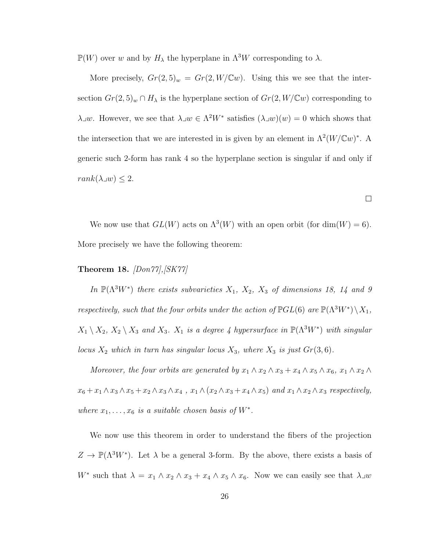$\mathbb{P}(W)$  over  $w$  and by  $H_\lambda$  the hyperplane in  $\Lambda^3 W$  corresponding to  $\lambda.$ 

More precisely,  $Gr(2, 5)_w = Gr(2, W/\mathbb{C}w)$ . Using this we see that the intersection  $Gr(2, 5)_w \cap H_\lambda$  is the hyperplane section of  $Gr(2, W/\mathbb{C}w)$  corresponding to λ v. However, we see that  $\lambda \lrcorner w \in \Lambda^2 W^*$  satisfies  $(\lambda \lrcorner w)(w) = 0$  which shows that the intersection that we are interested in is given by an element in  $\Lambda^2(W/\mathbb{C}w)^*$ . A generic such 2-form has rank 4 so the hyperplane section is singular if and only if  $rank(\lambda \lrcorner w) \leq 2.$ 

We now use that  $GL(W)$  acts on  $\Lambda^3(W)$  with an open orbit (for dim(W) = 6). More precisely we have the following theorem:

 $\Box$ 

#### Theorem 18.  $[Don77], [SK77]$

In  $\mathbb{P}(\Lambda^3 W^*)$  there exists subvarieties  $X_1, X_2, X_3$  of dimensions 18, 14 and 9 respectively, such that the four orbits under the action of  $\mathbb{P}GL(6)$  are  $\mathbb{P}(\Lambda^3W^*)\backslash X_1$ ,  $X_1 \setminus X_2$ ,  $X_2 \setminus X_3$  and  $X_3$ .  $X_1$  is a degree 4 hypersurface in  $\mathbb{P}(\Lambda^3 W^*)$  with singular locus  $X_2$  which in turn has singular locus  $X_3$ , where  $X_3$  is just  $Gr(3,6)$ .

Moreover, the four orbits are generated by  $x_1 \wedge x_2 \wedge x_3 + x_4 \wedge x_5 \wedge x_6$ ,  $x_1 \wedge x_2 \wedge x_6$  $x_6 + x_1 \wedge x_3 \wedge x_5 + x_2 \wedge x_3 \wedge x_4$ ,  $x_1 \wedge (x_2 \wedge x_3 + x_4 \wedge x_5)$  and  $x_1 \wedge x_2 \wedge x_3$  respectively, where  $x_1, \ldots, x_6$  is a suitable chosen basis of  $W^*$ .

We now use this theorem in order to understand the fibers of the projection  $Z \to \mathbb{P}(\Lambda^3 W^*)$ . Let  $\lambda$  be a general 3-form. By the above, there exists a basis of W<sup>\*</sup> such that  $\lambda = x_1 \wedge x_2 \wedge x_3 + x_4 \wedge x_5 \wedge x_6$ . Now we can easily see that  $\lambda \exists w$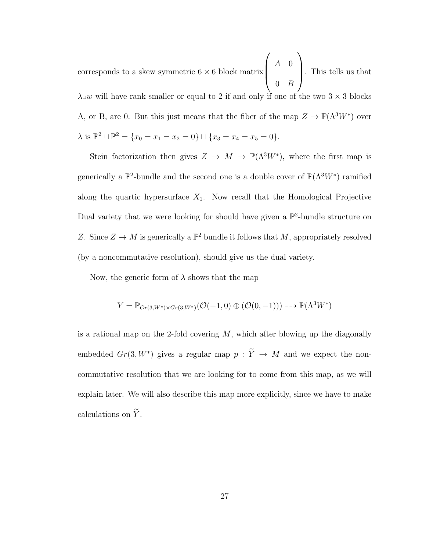corresponds to a skew symmetric  $6 \times 6$  block matrix  $\sqrt{ }$  $\vert$  $A \quad 0$  $0 \quad B$  $\setminus$  . This tells us that  $\lambda \lrcorner w$  will have rank smaller or equal to 2 if and only if one of the two 3  $\times$  3 blocks A, or B, are 0. But this just means that the fiber of the map  $Z \to \mathbb{P}(\Lambda^3 W^*)$  over  $\lambda$  is  $\mathbb{P}^2 \sqcup \mathbb{P}^2 = \{x_0 = x_1 = x_2 = 0\} \sqcup \{x_3 = x_4 = x_5 = 0\}.$ 

Stein factorization then gives  $Z \to M \to \mathbb{P}(\Lambda^3 W^*)$ , where the first map is generically a  $\mathbb{P}^2$ -bundle and the second one is a double cover of  $\mathbb{P}(\Lambda^3 W^*)$  ramified along the quartic hypersurface  $X_1$ . Now recall that the Homological Projective Dual variety that we were looking for should have given a  $\mathbb{P}^2$ -bundle structure on Z. Since  $Z \to M$  is generically a  $\mathbb{P}^2$  bundle it follows that M, appropriately resolved (by a noncommutative resolution), should give us the dual variety.

Now, the generic form of  $\lambda$  shows that the map

$$
Y = \mathbb{P}_{Gr(3,W^*) \times Gr(3,W^*)}(\mathcal{O}(-1,0) \oplus (\mathcal{O}(0,-1))) \dashrightarrow \mathbb{P}(\Lambda^3 W^*)
$$

is a rational map on the 2-fold covering  $M$ , which after blowing up the diagonally embedded  $Gr(3, W^*)$  gives a regular map  $p : \tilde{Y} \to M$  and we expect the noncommutative resolution that we are looking for to come from this map, as we will explain later. We will also describe this map more explicitly, since we have to make calculations on  $\widetilde{Y}$ .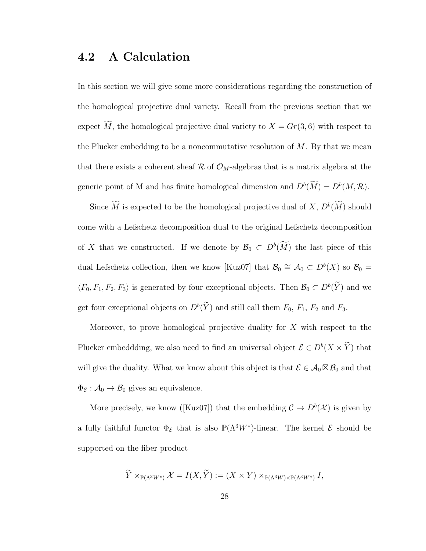### 4.2 A Calculation

In this section we will give some more considerations regarding the construction of the homological projective dual variety. Recall from the previous section that we expect  $\overline{M}$ , the homological projective dual variety to  $X = Gr(3, 6)$  with respect to the Plucker embedding to be a noncommutative resolution of  $M$ . By that we mean that there exists a coherent sheaf  $\mathcal R$  of  $\mathcal O_M$ -algebras that is a matrix algebra at the generic point of M and has finite homological dimension and  $D^b(M) = D^b(M, \mathcal{R})$ .

Since M is expected to be the homological projective dual of  $X, D<sup>b</sup>(M)$  should come with a Lefschetz decomposition dual to the original Lefschetz decomposition of X that we constructed. If we denote by  $\mathcal{B}_0 \subset D^b(M)$  the last piece of this dual Lefschetz collection, then we know [Kuz07] that  $\mathcal{B}_0 \cong \mathcal{A}_0 \subset D^b(X)$  so  $\mathcal{B}_0 =$  $\langle F_0, F_1, F_2, F_3 \rangle$  is generated by four exceptional objects. Then  $\mathcal{B}_0 \subset D^b(\tilde{Y})$  and we get four exceptional objects on  $D^b(\tilde{Y})$  and still call them  $F_0$ ,  $F_1$ ,  $F_2$  and  $F_3$ .

Moreover, to prove homological projective duality for  $X$  with respect to the Plucker embeddding, we also need to find an universal object  $\mathcal{E} \in D^b(X \times \tilde{Y})$  that will give the duality. What we know about this object is that  $\mathcal{E} \in \mathcal{A}_0 \boxtimes \mathcal{B}_0$  and that  $\Phi_{\mathcal{E}}: \mathcal{A}_0 \to \mathcal{B}_0$  gives an equivalence.

More precisely, we know ([Kuz07]) that the embedding  $\mathcal{C} \to D^b(\mathcal{X})$  is given by a fully faithful functor  $\Phi_{\mathcal{E}}$  that is also  $\mathbb{P}(\Lambda^3 W^*)$ -linear. The kernel  $\mathcal E$  should be supported on the fiber product

$$
\widetilde{Y} \times_{\mathbb{P}(\Lambda^3 W^*)} \mathcal{X} = I(X, \widetilde{Y}) := (X \times Y) \times_{\mathbb{P}(\Lambda^3 W) \times \mathbb{P}(\Lambda^3 W^*)} I,
$$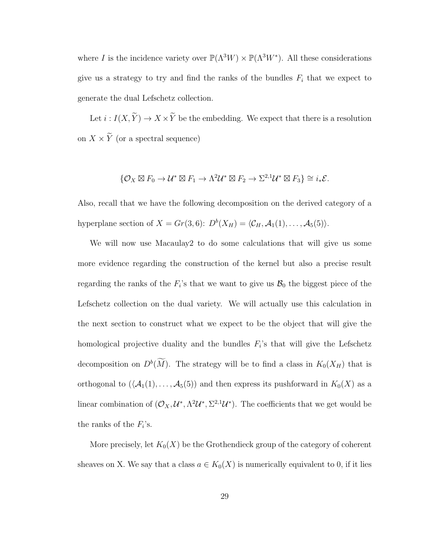where I is the incidence variety over  $\mathbb{P}(\Lambda^3 W) \times \mathbb{P}(\Lambda^3 W^*)$ . All these considerations give us a strategy to try and find the ranks of the bundles  $F_i$  that we expect to generate the dual Lefschetz collection.

Let  $i: I(X, \widetilde{Y}) \to X \times \widetilde{Y}$  be the embedding. We expect that there is a resolution on  $X \times \widetilde{Y}$  (or a spectral sequence)

$$
\{\mathcal{O}_X \boxtimes F_0 \to \mathcal{U}^* \boxtimes F_1 \to \Lambda^2 \mathcal{U}^* \boxtimes F_2 \to \Sigma^{2,1} \mathcal{U}^* \boxtimes F_3\} \cong i_* \mathcal{E}.
$$

Also, recall that we have the following decomposition on the derived category of a hyperplane section of  $X = Gr(3, 6)$ :  $D^b(X_H) = \langle C_H, A_1(1), \ldots, A_5(5) \rangle$ .

We will now use Macaulay2 to do some calculations that will give us some more evidence regarding the construction of the kernel but also a precise result regarding the ranks of the  $F_i$ 's that we want to give us  $\mathcal{B}_0$  the biggest piece of the Lefschetz collection on the dual variety. We will actually use this calculation in the next section to construct what we expect to be the object that will give the homological projective duality and the bundles  $F_i$ 's that will give the Lefschetz decomposition on  $D^b(M)$ . The strategy will be to find a class in  $K_0(X_H)$  that is orthogonal to  $(\mathcal{A}_1(1), \ldots, \mathcal{A}_5(5))$  and then express its pushforward in  $K_0(X)$  as a linear combination of  $(O_X, \mathcal{U}^*, \Lambda^2 \mathcal{U}^*, \Sigma^{2,1} \mathcal{U}^*)$ . The coefficients that we get would be the ranks of the  $F_i$ 's.

More precisely, let  $K_0(X)$  be the Grothendieck group of the category of coherent sheaves on X. We say that a class  $a \in K_0(X)$  is numerically equivalent to 0, if it lies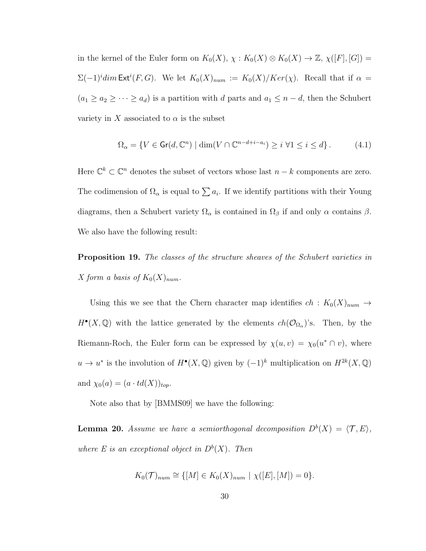in the kernel of the Euler form on  $K_0(X)$ ,  $\chi: K_0(X) \otimes K_0(X) \to \mathbb{Z}$ ,  $\chi([F], [G]) =$  $\Sigma(-1)^i$ dim Ext<sup>i</sup>(F, G). We let  $K_0(X)_{num} := K_0(X)/Ker(\chi)$ . Recall that if  $\alpha =$  $(a_1 \ge a_2 \ge \cdots \ge a_d)$  is a partition with d parts and  $a_1 \le n - d$ , then the Schubert variety in X associated to  $\alpha$  is the subset

$$
\Omega_{\alpha} = \{ V \in \text{Gr}(d, \mathbb{C}^n) \mid \dim(V \cap \mathbb{C}^{n-d+i-a_i}) \ge i \,\,\forall 1 \le i \le d \} \,. \tag{4.1}
$$

Here  $\mathbb{C}^k \subset \mathbb{C}^n$  denotes the subset of vectors whose last  $n - k$  components are zero. The codimension of  $\Omega_{\alpha}$  is equal to  $\sum a_i$ . If we identify partitions with their Young diagrams, then a Schubert variety  $\Omega_{\alpha}$  is contained in  $\Omega_{\beta}$  if and only  $\alpha$  contains  $\beta$ . We also have the following result:

Proposition 19. The classes of the structure sheaves of the Schubert varieties in X form a basis of  $K_0(X)_{num}$ .

Using this we see that the Chern character map identifies  $ch: K_0(X)_{num} \rightarrow$  $H^{\bullet}(X,\mathbb{Q})$  with the lattice generated by the elements  $ch(\mathcal{O}_{\Omega_{\alpha}})$ 's. Then, by the Riemann-Roch, the Euler form can be expressed by  $\chi(u, v) = \chi_0(u^* \cap v)$ , where  $u \to u^*$  is the involution of  $H^{\bullet}(X, \mathbb{Q})$  given by  $(-1)^k$  multiplication on  $H^{2k}(X, \mathbb{Q})$ and  $\chi_0(a) = (a \cdot td(X))_{top}$ .

Note also that by [BMMS09] we have the following:

**Lemma 20.** Assume we have a semiorthogonal decomposition  $D^b(X) = \langle \mathcal{T}, E \rangle$ , where E is an exceptional object in  $D^b(X)$ . Then

$$
K_0(\mathcal{T})_{num} \cong \{ [M] \in K_0(X)_{num} \mid \chi([E], [M]) = 0 \}.
$$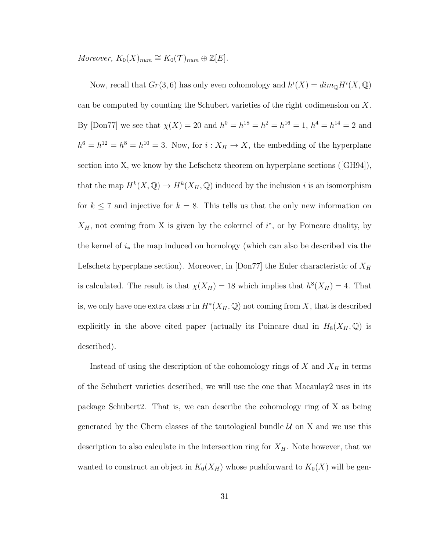Moreover,  $K_0(X)_{num} \cong K_0(\mathcal{T})_{num} \oplus \mathbb{Z}[E].$ 

Now, recall that  $Gr(3, 6)$  has only even cohomology and  $h^{i}(X) = dim_{\mathbb{Q}} H^{i}(X, \mathbb{Q})$ can be computed by counting the Schubert varieties of the right codimension on X. By [Don77] we see that  $\chi(X) = 20$  and  $h^0 = h^{18} = h^2 = h^{16} = 1$ ,  $h^4 = h^{14} = 2$  and  $h^6 = h^{12} = h^8 = h^{10} = 3$ . Now, for  $i: X_H \to X$ , the embedding of the hyperplane section into X, we know by the Lefschetz theorem on hyperplane sections ([GH94]), that the map  $H^k(X, \mathbb{Q}) \to H^k(X_H, \mathbb{Q})$  induced by the inclusion i is an isomorphism for  $k \leq 7$  and injective for  $k = 8$ . This tells us that the only new information on  $X_H$ , not coming from X is given by the cokernel of  $i^*$ , or by Poincare duality, by the kernel of  $i_*$  the map induced on homology (which can also be described via the Lefschetz hyperplane section). Moreover, in [Don77] the Euler characteristic of  $X_H$ is calculated. The result is that  $\chi(X_H) = 18$  which implies that  $h^8(X_H) = 4$ . That is, we only have one extra class x in  $H^*(X_H, \mathbb{Q})$  not coming from X, that is described explicitly in the above cited paper (actually its Poincare dual in  $H_8(X_H, \mathbb{Q})$  is described).

Instead of using the description of the cohomology rings of  $X$  and  $X_H$  in terms of the Schubert varieties described, we will use the one that Macaulay2 uses in its package Schubert2. That is, we can describe the cohomology ring of X as being generated by the Chern classes of the tautological bundle  $U$  on X and we use this description to also calculate in the intersection ring for  $X_H$ . Note however, that we wanted to construct an object in  $K_0(X_H)$  whose pushforward to  $K_0(X)$  will be gen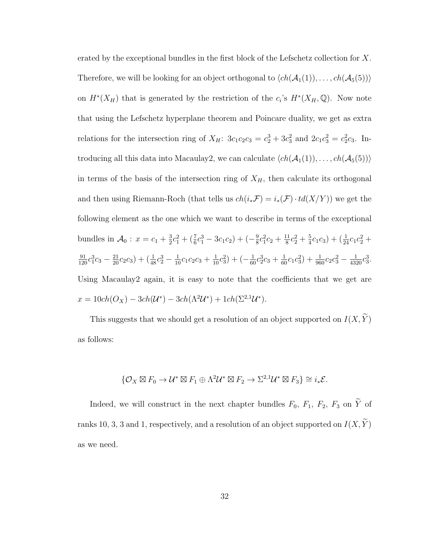erated by the exceptional bundles in the first block of the Lefschetz collection for  $X$ . Therefore, we will be looking for an object orthogonal to  $\langle ch(A_1(1)), \ldots, ch(A_5(5))\rangle$ on  $H^*(X_H)$  that is generated by the restriction of the  $c_i$ 's  $H^*(X_H, \mathbb{Q})$ . Now note that using the Lefschetz hyperplane theorem and Poincare duality, we get as extra relations for the intersection ring of  $X_H$ :  $3c_1c_2c_3 = c_2^3 + 3c_3^2$  and  $2c_1c_3^2 = c_2^2c_3$ . Introducing all this data into Macaulay2, we can calculate  $\langle ch(A_1(1)), \ldots, ch(A_5(5)) \rangle$ in terms of the basis of the intersection ring of  $X_H$ , then calculate its orthogonal and then using Riemann-Roch (that tells us  $ch(i_*\mathcal{F}) = i_*(\mathcal{F}) \cdot td(X/Y)$ ) we get the following element as the one which we want to describe in terms of the exceptional bundles in  $\mathcal{A}_0$  :  $x = c_1 + \frac{3}{2}$  $\frac{3}{2}c_1^2 + (\frac{7}{6}c_1^3 - 3c_1c_2) + (-\frac{9}{8})$  $\frac{9}{8}c_1^2c_2+\frac{11}{8}$  $\frac{11}{8}c_2^2 + \frac{5}{4}$  $(\frac{5}{4}c_1c_3)+(\frac{1}{24}c_1c_2^2 +$  $\frac{91}{120}c_1^3c_3 - \frac{21}{20}c_2c_3 + \left(\frac{1}{48}c_2^3 - \frac{1}{10}c_1c_2c_3 + \frac{1}{10}c_3^2\right) + \left(-\frac{1}{60}c_2^3c_3 + \frac{1}{60}c_1c_3^2\right) + \frac{1}{960}c_2c_3^2 - \frac{1}{4320}c_3^3.$ Using Macaulay2 again, it is easy to note that the coefficients that we get are  $x = 10ch(O_X) - 3ch(\mathcal{U}^*) - 3ch(\Lambda^2 \mathcal{U}^*) + 1ch(\Sigma^{2,1} \mathcal{U}^*).$ 

This suggests that we should get a resolution of an object supported on  $I(X, \widetilde{Y})$ as follows:

$$
\{\mathcal{O}_X \boxtimes F_0 \to \mathcal{U}^* \boxtimes F_1 \oplus \Lambda^2 \mathcal{U}^* \boxtimes F_2 \to \Sigma^{2,1} \mathcal{U}^* \boxtimes F_3\} \cong i_* \mathcal{E}.
$$

Indeed, we will construct in the next chapter bundles  $F_0$ ,  $F_1$ ,  $F_2$ ,  $F_3$  on  $\widetilde{Y}$  of ranks 10, 3, 3 and 1, respectively, and a resolution of an object supported on  $I(X, \widetilde{Y})$ as we need.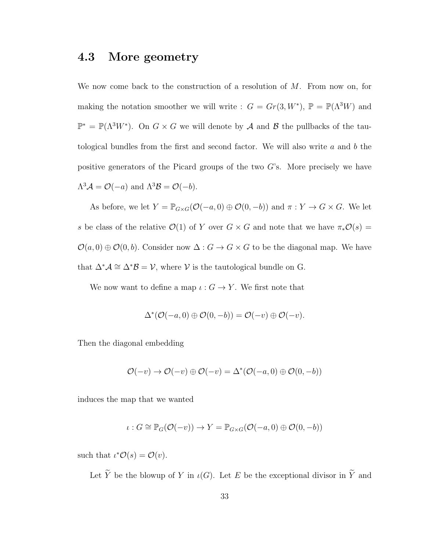#### 4.3 More geometry

We now come back to the construction of a resolution of  $M$ . From now on, for making the notation smoother we will write :  $G = Gr(3, W^*)$ ,  $\mathbb{P} = \mathbb{P}(\Lambda^3 W)$  and  $\mathbb{P}^* = \mathbb{P}(\Lambda^3 W^*)$ . On  $G \times G$  we will denote by  $\mathcal A$  and  $\mathcal B$  the pullbacks of the tautological bundles from the first and second factor. We will also write  $a$  and  $b$  the positive generators of the Picard groups of the two G's. More precisely we have  $\Lambda^3 \mathcal{A} = \mathcal{O}(-a)$  and  $\Lambda^3 \mathcal{B} = \mathcal{O}(-b)$ .

As before, we let  $Y = \mathbb{P}_{G \times G}(\mathcal{O}(-a, 0) \oplus \mathcal{O}(0, -b))$  and  $\pi : Y \to G \times G$ . We let s be class of the relative  $\mathcal{O}(1)$  of Y over  $G \times G$  and note that we have  $\pi_* \mathcal{O}(s) =$  $\mathcal{O}(a, 0) \oplus \mathcal{O}(0, b)$ . Consider now  $\Delta : G \to G \times G$  to be the diagonal map. We have that  $\Delta^* A \cong \Delta^* B = \mathcal{V}$ , where  $\mathcal V$  is the tautological bundle on G.

We now want to define a map  $\iota: G \to Y$ . We first note that

$$
\Delta^*(\mathcal{O}(-a,0) \oplus \mathcal{O}(0,-b)) = \mathcal{O}(-v) \oplus \mathcal{O}(-v).
$$

Then the diagonal embedding

$$
\mathcal{O}(-v) \to \mathcal{O}(-v) \oplus \mathcal{O}(-v) = \Delta^*(\mathcal{O}(-a,0) \oplus \mathcal{O}(0,-b))
$$

induces the map that we wanted

$$
\iota: G \cong \mathbb{P}_G(\mathcal{O}(-v)) \to Y = \mathbb{P}_{G \times G}(\mathcal{O}(-a,0) \oplus \mathcal{O}(0,-b))
$$

such that  $\iota^* \mathcal{O}(s) = \mathcal{O}(v)$ .

Let  $\widetilde{Y}$  be the blowup of Y in  $\iota(G)$ . Let E be the exceptional divisor in  $\widetilde{Y}$  and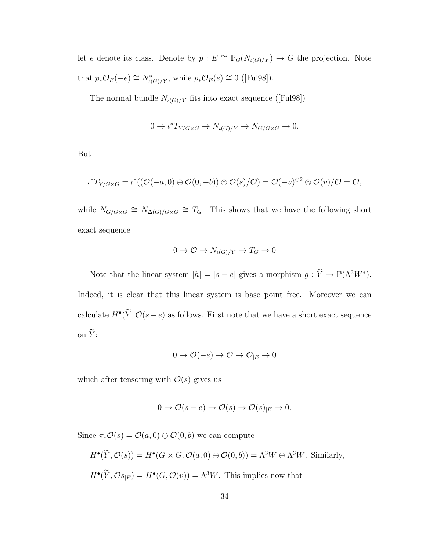let e denote its class. Denote by  $p : E \cong \mathbb{P}_G(N_{\iota(G)/Y}) \to G$  the projection. Note that  $p_*\mathcal{O}_E(-e) \cong N^*_{\iota(G)/Y}$ , while  $p_*\mathcal{O}_E(e) \cong 0$  ([Ful98]).

The normal bundle  $N_{\iota(G)/Y}$  fits into exact sequence ([Ful98])

$$
0 \to \iota^* T_{Y/G \times G} \to N_{\iota(G)/Y} \to N_{G/G \times G} \to 0.
$$

But

$$
\iota^*T_{Y/G\times G}=\iota^*((\mathcal{O}(-a,0)\oplus \mathcal{O}(0,-b))\otimes \mathcal{O}(s)/\mathcal{O})=\mathcal{O}(-v)^{\oplus 2}\otimes \mathcal{O}(v)/\mathcal{O}=\mathcal{O},
$$

while  $N_{G/G\times G} \cong N_{\Delta(G)/G\times G} \cong T_G$ . This shows that we have the following short exact sequence

$$
0 \to \mathcal{O} \to N_{\iota(G)/Y} \to T_G \to 0
$$

Note that the linear system  $|h| = |s - e|$  gives a morphism  $g: \widetilde{Y} \to \mathbb{P}(\Lambda^3 W^*)$ . Indeed, it is clear that this linear system is base point free. Moreover we can calculate  $H^{\bullet}(\tilde{Y}, \mathcal{O}(s - e))$  as follows. First note that we have a short exact sequence on  $\widetilde{Y}$ :

$$
0 \to \mathcal{O}(-e) \to \mathcal{O} \to \mathcal{O}_{|E} \to 0
$$

which after tensoring with  $\mathcal{O}(s)$  gives us

$$
0 \to \mathcal{O}(s - e) \to \mathcal{O}(s) \to \mathcal{O}(s)_{|E} \to 0.
$$

Since  $\pi_* \mathcal{O}(s) = \mathcal{O}(a, 0) \oplus \mathcal{O}(0, b)$  we can compute

$$
H^{\bullet}(\widetilde{Y}, \mathcal{O}(s)) = H^{\bullet}(G \times G, \mathcal{O}(a, 0) \oplus \mathcal{O}(0, b)) = \Lambda^3 W \oplus \Lambda^3 W.
$$
 Similarly,  

$$
H^{\bullet}(\widetilde{Y}, \mathcal{O}s_{|E}) = H^{\bullet}(G, \mathcal{O}(v)) = \Lambda^3 W.
$$
 This implies now that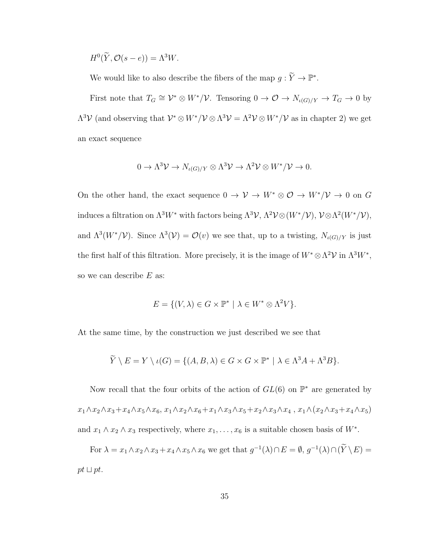$$
H^0(\widetilde{Y}, \mathcal{O}(s-e)) = \Lambda^3 W.
$$

We would like to also describe the fibers of the map  $g: \widetilde{Y} \to \mathbb{P}^*$ .

First note that  $T_G \cong \mathcal{V}^* \otimes W^* / \mathcal{V}$ . Tensoring  $0 \to \mathcal{O} \to N_{\iota(G)/Y} \to T_G \to 0$  by  $\Lambda^3 \mathcal{V}$  (and observing that  $\mathcal{V}^* \otimes W^* / \mathcal{V} \otimes \Lambda^3 \mathcal{V} = \Lambda^2 \mathcal{V} \otimes W^* / \mathcal{V}$  as in chapter 2) we get an exact sequence

$$
0 \to \Lambda^3 \mathcal{V} \to N_{\iota(G)/Y} \otimes \Lambda^3 \mathcal{V} \to \Lambda^2 \mathcal{V} \otimes W^* / \mathcal{V} \to 0.
$$

On the other hand, the exact sequence  $0 \to V \to W^* \otimes \mathcal{O} \to W^*/\mathcal{V} \to 0$  on G induces a filtration on  $\Lambda^3 W^*$  with factors being  $\Lambda^3 \mathcal{V}, \Lambda^2 \mathcal{V} \otimes (W^* / \mathcal{V}), \mathcal{V} \otimes \Lambda^2 (W^* / \mathcal{V}),$ and  $\Lambda^3(W^*/\mathcal{V})$ . Since  $\Lambda^3(\mathcal{V}) = \mathcal{O}(v)$  we see that, up to a twisting,  $N_{\iota(G)/Y}$  is just the first half of this filtration. More precisely, it is the image of  $W^* \otimes \Lambda^2 \mathcal{V}$  in  $\Lambda^3 W^*$ , so we can describe  $E$  as:

$$
E = \{ (V, \lambda) \in G \times \mathbb{P}^* \mid \lambda \in W^* \otimes \Lambda^2 V \}.
$$

At the same time, by the construction we just described we see that

$$
\widetilde{Y} \setminus E = Y \setminus \iota(G) = \{ (A, B, \lambda) \in G \times G \times \mathbb{P}^* \mid \lambda \in \Lambda^3 A + \Lambda^3 B \}.
$$

Now recall that the four orbits of the action of  $GL(6)$  on  $\mathbb{P}^*$  are generated by  $x_1 \wedge x_2 \wedge x_3 + x_4 \wedge x_5 \wedge x_6, x_1 \wedge x_2 \wedge x_6 + x_1 \wedge x_3 \wedge x_5 + x_2 \wedge x_3 \wedge x_4, x_1 \wedge (x_2 \wedge x_3 + x_4 \wedge x_5)$ and  $x_1 \wedge x_2 \wedge x_3$  respectively, where  $x_1, \ldots, x_6$  is a suitable chosen basis of  $W^*$ .

For  $\lambda = x_1 \wedge x_2 \wedge x_3 + x_4 \wedge x_5 \wedge x_6$  we get that  $g^{-1}(\lambda) \cap E = \emptyset$ ,  $g^{-1}(\lambda) \cap (\tilde{Y} \setminus E) =$  $pt \sqcup pt.$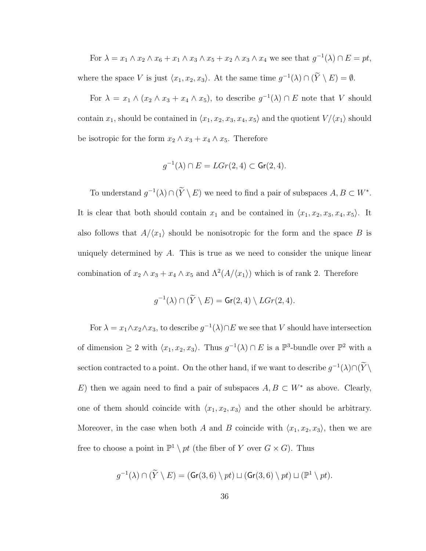For 
$$
\lambda = x_1 \wedge x_2 \wedge x_6 + x_1 \wedge x_3 \wedge x_5 + x_2 \wedge x_3 \wedge x_4
$$
 we see that  $g^{-1}(\lambda) \cap E = pt$ ,  
where the space V is just  $\langle x_1, x_2, x_3 \rangle$ . At the same time  $g^{-1}(\lambda) \cap (\widetilde{Y} \setminus E) = \emptyset$ .

For  $\lambda = x_1 \wedge (x_2 \wedge x_3 + x_4 \wedge x_5)$ , to describe  $g^{-1}(\lambda) \cap E$  note that V should contain  $x_1$ , should be contained in  $\langle x_1, x_2, x_3, x_4, x_5 \rangle$  and the quotient  $V/\langle x_1 \rangle$  should be isotropic for the form  $x_2 \wedge x_3 + x_4 \wedge x_5$ . Therefore

$$
g^{-1}(\lambda) \cap E = LGr(2, 4) \subset \mathsf{Gr}(2, 4).
$$

To understand  $g^{-1}(\lambda) \cap (\tilde{Y} \setminus E)$  we need to find a pair of subspaces  $A, B \subset W^*$ . It is clear that both should contain  $x_1$  and be contained in  $\langle x_1, x_2, x_3, x_4, x_5 \rangle$ . It also follows that  $A/\langle x_1 \rangle$  should be nonisotropic for the form and the space B is uniquely determined by  $A$ . This is true as we need to consider the unique linear combination of  $x_2 \wedge x_3 + x_4 \wedge x_5$  and  $\Lambda^2(A/\langle x_1 \rangle)$  which is of rank 2. Therefore

$$
g^{-1}(\lambda) \cap (\widetilde{Y} \setminus E) = \mathsf{Gr}(2,4) \setminus LGr(2,4).
$$

For  $\lambda = x_1 \wedge x_2 \wedge x_3$ , to describe  $g^{-1}(\lambda) \cap E$  we see that V should have intersection of dimension  $\geq 2$  with  $\langle x_1, x_2, x_3 \rangle$ . Thus  $g^{-1}(\lambda) \cap E$  is a  $\mathbb{P}^3$ -bundle over  $\mathbb{P}^2$  with a section contracted to a point. On the other hand, if we want to describe  $g^{-1}(\lambda) \cap (\tilde{Y} \setminus$ E) then we again need to find a pair of subspaces  $A, B \subset W^*$  as above. Clearly, one of them should coincide with  $\langle x_1, x_2, x_3 \rangle$  and the other should be arbitrary. Moreover, in the case when both A and B coincide with  $\langle x_1, x_2, x_3 \rangle$ , then we are free to choose a point in  $\mathbb{P}^1 \setminus pt$  (the fiber of Y over  $G \times G$ ). Thus

$$
g^{-1}(\lambda) \cap (\widetilde{Y} \setminus E) = (\mathsf{Gr}(3,6) \setminus pt) \sqcup (\mathsf{Gr}(3,6) \setminus pt) \sqcup (\mathbb{P}^1 \setminus pt).
$$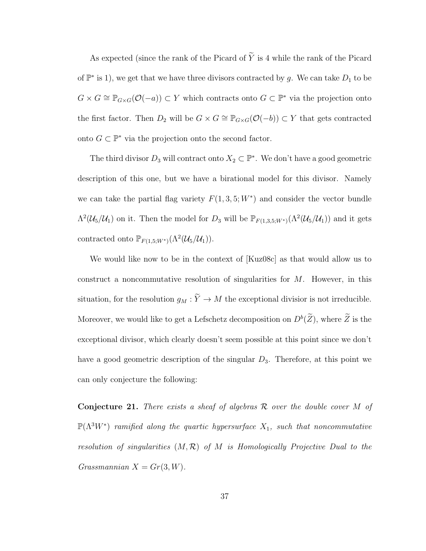As expected (since the rank of the Picard of  $\widetilde{Y}$  is 4 while the rank of the Picard of  $\mathbb{P}^*$  is 1), we get that we have three divisors contracted by g. We can take  $D_1$  to be  $G \times G \cong \mathbb{P}_{G \times G}(\mathcal{O}(-a)) \subset Y$  which contracts onto  $G \subset \mathbb{P}^*$  via the projection onto the first factor. Then  $D_2$  will be  $G \times G \cong \mathbb{P}_{G \times G}(\mathcal{O}(-b)) \subset Y$  that gets contracted onto  $G \subset \mathbb{P}^*$  via the projection onto the second factor.

The third divisor  $D_3$  will contract onto  $X_2 \subset \mathbb{P}^*$ . We don't have a good geometric description of this one, but we have a birational model for this divisor. Namely we can take the partial flag variety  $F(1,3,5;W^*)$  and consider the vector bundle  $\Lambda^2(\mathcal{U}_5/\mathcal{U}_1)$  on it. Then the model for  $D_3$  will be  $\mathbb{P}_{F(1,3,5;W^*)}(\Lambda^2(\mathcal{U}_5/\mathcal{U}_1))$  and it gets contracted onto  $\mathbb{P}_{F(1,5;W^*)}(\Lambda^2(\mathcal{U}_5/\mathcal{U}_1)).$ 

We would like now to be in the context of [Kuz08c] as that would allow us to construct a noncommutative resolution of singularities for M. However, in this situation, for the resolution  $g_M : \widetilde{Y} \to M$  the exceptional divisior is not irreducible. Moreover, we would like to get a Lefschetz decomposition on  $D^b(\tilde{Z})$ , where  $\tilde{Z}$  is the exceptional divisor, which clearly doesn't seem possible at this point since we don't have a good geometric description of the singular  $D_3$ . Therefore, at this point we can only conjecture the following:

**Conjecture 21.** There exists a sheaf of algebras  $\mathcal{R}$  over the double cover M of  $\mathbb{P}(\Lambda^3 W^*)$  ramified along the quartic hypersurface  $X_1$ , such that noncommutative resolution of singularities  $(M, \mathcal{R})$  of M is Homologically Projective Dual to the Grassmannian  $X = Gr(3, W)$ .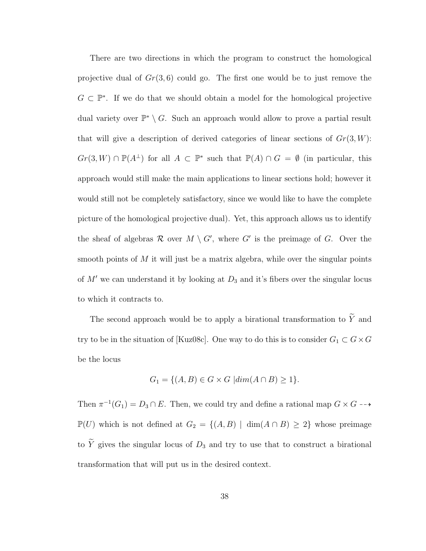There are two directions in which the program to construct the homological projective dual of  $Gr(3, 6)$  could go. The first one would be to just remove the  $G \subset \mathbb{P}^*$ . If we do that we should obtain a model for the homological projective dual variety over  $\mathbb{P}^* \setminus G$ . Such an approach would allow to prove a partial result that will give a description of derived categories of linear sections of  $Gr(3, W)$ :  $Gr(3, W) \cap \mathbb{P}(A^{\perp})$  for all  $A \subset \mathbb{P}^*$  such that  $\mathbb{P}(A) \cap G = \emptyset$  (in particular, this approach would still make the main applications to linear sections hold; however it would still not be completely satisfactory, since we would like to have the complete picture of the homological projective dual). Yet, this approach allows us to identify the sheaf of algebras  $\mathcal R$  over  $M \setminus G'$ , where  $G'$  is the preimage of G. Over the smooth points of  $M$  it will just be a matrix algebra, while over the singular points of  $M'$  we can understand it by looking at  $D_3$  and it's fibers over the singular locus to which it contracts to.

The second approach would be to apply a birational transformation to  $\widetilde{Y}$  and try to be in the situation of [Kuz08c]. One way to do this is to consider  $G_1 \subset G \times G$ be the locus

$$
G_1 = \{(A, B) \in G \times G \mid dim(A \cap B) \ge 1\}.
$$

Then  $\pi^{-1}(G_1) = D_3 \cap E$ . Then, we could try and define a rational map  $G \times G \dashrightarrow$  $\mathbb{P}(U)$  which is not defined at  $G_2 = \{(A, B) | \dim(A \cap B) \geq 2\}$  whose preimage to  $\widetilde{Y}$  gives the singular locus of  $D_3$  and try to use that to construct a birational transformation that will put us in the desired context.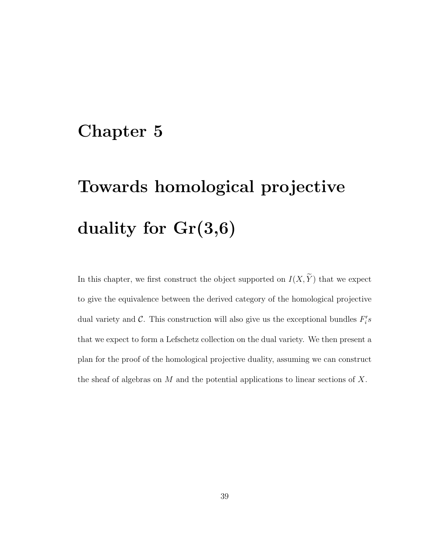# Chapter 5

# Towards homological projective duality for Gr(3,6)

In this chapter, we first construct the object supported on  $I(X, \widetilde{Y})$  that we expect to give the equivalence between the derived category of the homological projective dual variety and  $\mathcal{C}$ . This construction will also give us the exceptional bundles  $F_i's$ that we expect to form a Lefschetz collection on the dual variety. We then present a plan for the proof of the homological projective duality, assuming we can construct the sheaf of algebras on  $M$  and the potential applications to linear sections of  $X$ .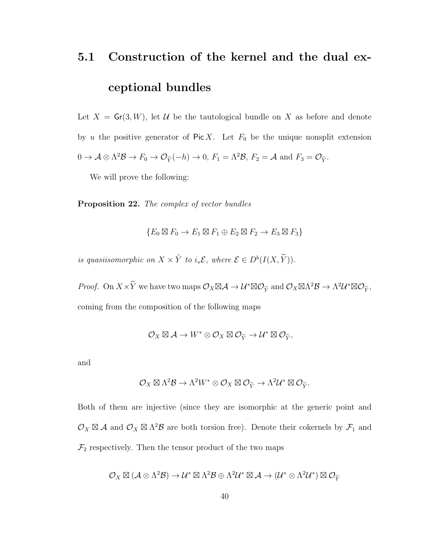# 5.1 Construction of the kernel and the dual exceptional bundles

Let  $X = Gr(3, W)$ , let U be the tautological bundle on X as before and denote by u the positive generator of  $Pic X$ . Let  $F_0$  be the unique nonsplit extension  $0 \to \mathcal{A} \otimes \Lambda^2 \mathcal{B} \to F_0 \to \mathcal{O}_{\widetilde{Y}}(-h) \to 0, F_1 = \Lambda^2 \mathcal{B}, F_2 = \mathcal{A} \text{ and } F_3 = \mathcal{O}_{\widetilde{Y}}.$ 

We will prove the following:

Proposition 22. The complex of vector bundles

$$
\{E_0 \boxtimes F_0 \to E_1 \boxtimes F_1 \oplus E_2 \boxtimes F_2 \to E_3 \boxtimes F_3\}
$$

is quasiisomorphic on  $X \times \tilde{Y}$  to  $i_*\mathcal{E}$ , where  $\mathcal{E} \in D^b(I(X, \tilde{Y})).$ 

*Proof.* On  $X \times \widetilde{Y}$  we have two maps  $\mathcal{O}_X \boxtimes \mathcal{A} \to \mathcal{U}^* \boxtimes \mathcal{O}_{\widetilde{Y}}$  and  $\mathcal{O}_X \boxtimes \Lambda^2 \mathcal{B} \to \Lambda^2 \mathcal{U}^* \boxtimes \mathcal{O}_{\widetilde{Y}}$ , coming from the composition of the following maps

$$
\mathcal{O}_X \boxtimes \mathcal{A} \to W^* \otimes \mathcal{O}_X \boxtimes \mathcal{O}_{\widetilde{Y}} \to \mathcal{U}^* \boxtimes \mathcal{O}_{\widetilde{Y}},
$$

and

$$
\mathcal{O}_X \boxtimes \Lambda^2 \mathcal{B} \to \Lambda^2 W^* \otimes \mathcal{O}_X \boxtimes \mathcal{O}_{\widetilde{Y}} \to \Lambda^2 \mathcal{U}^* \boxtimes \mathcal{O}_{\widetilde{Y}}.
$$

Both of them are injective (since they are isomorphic at the generic point and  $\mathcal{O}_X \boxtimes \mathcal{A}$  and  $\mathcal{O}_X \boxtimes \Lambda^2 \mathcal{B}$  are both torsion free). Denote their cokernels by  $\mathcal{F}_1$  and  $\mathcal{F}_2$  respectively. Then the tensor product of the two maps

$$
\mathcal{O}_X \boxtimes (\mathcal{A} \otimes \Lambda^2 \mathcal{B}) \to \mathcal{U}^* \boxtimes \Lambda^2 \mathcal{B} \oplus \Lambda^2 \mathcal{U}^* \boxtimes \mathcal{A} \to (\mathcal{U}^* \otimes \Lambda^2 \mathcal{U}^*) \boxtimes \mathcal{O}_{\widetilde{Y}}
$$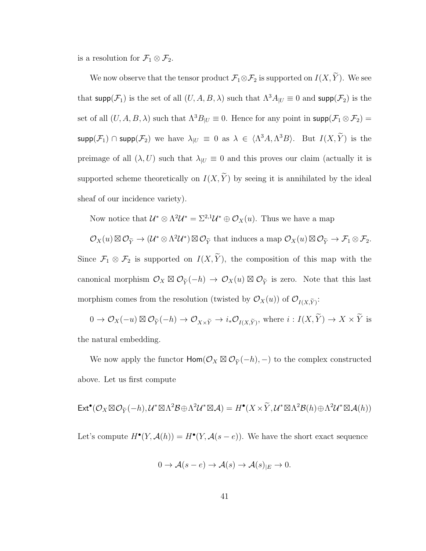is a resolution for  $\mathcal{F}_1 \otimes \mathcal{F}_2$ .

We now observe that the tensor product  $\mathcal{F}_1 \otimes \mathcal{F}_2$  is supported on  $I(X, \widetilde{Y})$ . We see that  $\text{supp}(\mathcal{F}_1)$  is the set of all  $(U, A, B, \lambda)$  such that  $\Lambda^3 A_{|U} \equiv 0$  and  $\text{supp}(\mathcal{F}_2)$  is the set of all  $(U, A, B, \lambda)$  such that  $\Lambda^3B_{|U} \equiv 0$ . Hence for any point in supp $(\mathcal{F}_1 \otimes \mathcal{F}_2)$  =  $\mathsf{supp}(\mathcal{F}_1) \cap \mathsf{supp}(\mathcal{F}_2)$  we have  $\lambda_{|U} \equiv 0$  as  $\lambda \in \langle \Lambda^3 A, \Lambda^3 B \rangle$ . But  $I(X, \tilde{Y})$  is the preimage of all  $(\lambda, U)$  such that  $\lambda_{|U} \equiv 0$  and this proves our claim (actually it is supported scheme theoretically on  $I(X, \widetilde{Y})$  by seeing it is annihilated by the ideal sheaf of our incidence variety).

Now notice that  $\mathcal{U}^* \otimes \Lambda^2 \mathcal{U}^* = \Sigma^{2,1} \mathcal{U}^* \oplus \mathcal{O}_X(u)$ . Thus we have a map

 $\mathcal{O}_X(u) \boxtimes \mathcal{O}_{\widetilde{Y}} \to (\mathcal{U}^* \otimes \Lambda^2 \mathcal{U}^*) \boxtimes \mathcal{O}_{\widetilde{Y}}$  that induces a map  $\mathcal{O}_X(u) \boxtimes \mathcal{O}_{\widetilde{Y}} \to \mathcal{F}_1 \otimes \mathcal{F}_2$ . Since  $\mathcal{F}_1 \otimes \mathcal{F}_2$  is supported on  $I(X, \widetilde{Y})$ , the composition of this map with the canonical morphism  $\mathcal{O}_X \boxtimes \mathcal{O}_{\widetilde{Y}}(-h) \to \mathcal{O}_X(u) \boxtimes \mathcal{O}_{\widetilde{Y}}$  is zero. Note that this last morphism comes from the resolution (twisted by  $\mathcal{O}_X(u)$ ) of  $\mathcal{O}_{I(X,\widetilde{Y})}$ :

 $0 \to \mathcal{O}_X(-u) \boxtimes \mathcal{O}_{\widetilde{Y}}(-h) \to \mathcal{O}_{X \times \widetilde{Y}} \to i_*\mathcal{O}_{I(X,\widetilde{Y})}$ , where  $i: I(X,\widetilde{Y}) \to X \times \widetilde{Y}$  is the natural embedding.

We now apply the functor  $\text{Hom}(\mathcal{O}_X \boxtimes \mathcal{O}_{\widetilde{Y}}(-h), -)$  to the complex constructed above. Let us first compute

$$
\mathsf{Ext}^{\bullet}(\mathcal{O}_X \boxtimes \mathcal{O}_{\widetilde{Y}}(-h), \mathcal{U}^* \boxtimes \Lambda^2 \mathcal{B} \oplus \Lambda^2 \mathcal{U}^* \boxtimes \mathcal{A}) = H^{\bullet}(X \times \widetilde{Y}, \mathcal{U}^* \boxtimes \Lambda^2 \mathcal{B}(h) \oplus \Lambda^2 \mathcal{U}^* \boxtimes \mathcal{A}(h))
$$

Let's compute  $H^{\bullet}(Y, \mathcal{A}(h)) = H^{\bullet}(Y, \mathcal{A}(s - e)).$  We have the short exact sequence

$$
0 \to \mathcal{A}(s - e) \to \mathcal{A}(s) \to \mathcal{A}(s)_{|E} \to 0.
$$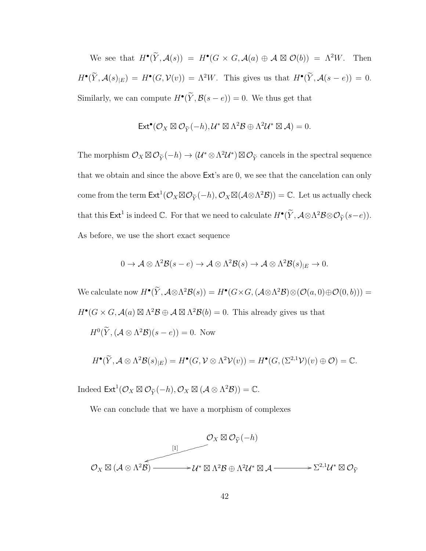We see that  $H^{\bullet}(\widetilde{Y}, \mathcal{A}(s)) = H^{\bullet}(G \times G, \mathcal{A}(a) \oplus \mathcal{A} \boxtimes \mathcal{O}(b)) = \Lambda^2 W$ . Then  $H^{\bullet}(\widetilde{Y}, \mathcal{A}(s)|_E) = H^{\bullet}(G, \mathcal{V}(v)) = \Lambda^2 W$ . This gives us that  $H^{\bullet}(\widetilde{Y}, \mathcal{A}(s - e)) = 0$ . Similarly, we can compute  $H^{\bullet}(\tilde{Y}, \mathcal{B}(s - e)) = 0$ . We thus get that

$$
\mathsf{Ext}^{\bullet}(\mathcal{O}_X \boxtimes \mathcal{O}_{\widetilde{Y}}(-h), \mathcal{U}^* \boxtimes \Lambda^2 \mathcal{B} \oplus \Lambda^2 \mathcal{U}^* \boxtimes \mathcal{A}) = 0.
$$

The morphism  $\mathcal{O}_X \boxtimes \mathcal{O}_{\widetilde{Y}}(-h) \to (\mathcal{U}^* \otimes \Lambda^2 \mathcal{U}^*) \boxtimes \mathcal{O}_{\widetilde{Y}}$  cancels in the spectral sequence that we obtain and since the above Ext's are 0, we see that the cancelation can only come from the term  $\mathsf{Ext}^1(\mathcal{O}_X \boxtimes \mathcal{O}_{\widetilde{Y}}(-h), \mathcal{O}_X \boxtimes (\mathcal{A} \otimes \Lambda^2 \mathcal{B})) = \mathbb{C}$ . Let us actually check that this  $\mathsf{Ext}^1$  is indeed  $\mathbb C$ . For that we need to calculate  $H^{\bullet}(\widetilde{Y}, \mathcal{A}\otimes\Lambda^2\mathcal{B}\otimes\mathcal{O}_{\widetilde{Y}}(s-e)).$ As before, we use the short exact sequence

$$
0 \to \mathcal{A} \otimes \Lambda^2 \mathcal{B}(s-e) \to \mathcal{A} \otimes \Lambda^2 \mathcal{B}(s) \to \mathcal{A} \otimes \Lambda^2 \mathcal{B}(s)_{|E} \to 0.
$$

We calculate now  $H^{\bullet}(\tilde{Y}, \mathcal{A}\otimes \Lambda^2 \mathcal{B}(s)) = H^{\bullet}(G\times G, (\mathcal{A}\otimes \Lambda^2 \mathcal{B})\otimes (\mathcal{O}(a,0)\oplus \mathcal{O}(0,b)))=$  $H^{\bullet}(G \times G, \mathcal{A}(a) \boxtimes \Lambda^2 \mathcal{B} \oplus \mathcal{A} \boxtimes \Lambda^2 \mathcal{B}(b) = 0$ . This already gives us that  $H^0(\widetilde{Y}, (\mathcal{A} \otimes \Lambda^2 \mathcal{B})(s-e)) = 0.$  Now

$$
H^{\bullet}(\widetilde{Y}, \mathcal{A}\otimes \Lambda^2 \mathcal{B}(s)_{|E})=H^{\bullet}(G, \mathcal{V}\otimes \Lambda^2 \mathcal{V}(v))=H^{\bullet}(G, (\Sigma^{2,1}\mathcal{V})(v)\oplus \mathcal{O})=\mathbb{C}.
$$

Indeed  $\mathsf{Ext}^1(\mathcal{O}_X \boxtimes \mathcal{O}_{\widetilde{Y}}(-h), \mathcal{O}_X \boxtimes (\mathcal{A} \otimes \Lambda^2 \mathcal{B})) = \mathbb{C}.$ 

We can conclude that we have a morphism of complexes

$$
\mathcal{O}_X \boxtimes \mathcal{O}_{\tilde{Y}}(-h)
$$
\n
$$
\mathcal{O}_X \boxtimes (\mathcal{A} \otimes \Lambda^2 \mathcal{B}) \longrightarrow \mathcal{U}^* \boxtimes \Lambda^2 \mathcal{B} \oplus \Lambda^2 \mathcal{U}^* \boxtimes \mathcal{A} \longrightarrow \Sigma^{2,1} \mathcal{U}^* \boxtimes \mathcal{O}_{\tilde{Y}}
$$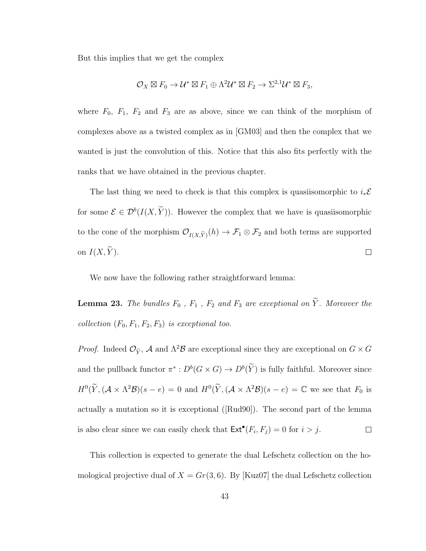But this implies that we get the complex

$$
\mathcal{O}_X \boxtimes F_0 \to \mathcal{U}^* \boxtimes F_1 \oplus \Lambda^2 \mathcal{U}^* \boxtimes F_2 \to \Sigma^{2,1} \mathcal{U}^* \boxtimes F_3,
$$

where  $F_0$ ,  $F_1$ ,  $F_2$  and  $F_3$  are as above, since we can think of the morphism of complexes above as a twisted complex as in [GM03] and then the complex that we wanted is just the convolution of this. Notice that this also fits perfectly with the ranks that we have obtained in the previous chapter.

The last thing we need to check is that this complex is quasiisomorphic to  $i_*\mathcal{E}$ for some  $\mathcal{E} \in \mathcal{D}^b(I(X, \tilde{Y}))$ . However the complex that we have is quasiisomorphic to the cone of the morphism  $\mathcal{O}_{I(X,\widetilde{Y})}(h) \to \mathcal{F}_1 \otimes \mathcal{F}_2$  and both terms are supported on  $I(X, \widetilde{Y})$ .  $\Box$ 

We now have the following rather straightforward lemma:

**Lemma 23.** The bundles  $F_0$ ,  $F_1$ ,  $F_2$  and  $F_3$  are exceptional on  $\widetilde{Y}$ . Moreover the collection  $(F_0, F_1, F_2, F_3)$  is exceptional too.

*Proof.* Indeed  $\mathcal{O}_{\tilde{Y}}$ , A and  $\Lambda^2 \mathcal{B}$  are exceptional since they are exceptional on  $G \times G$ and the pullback functor  $\pi^*: D^b(G \times G) \to D^b(\tilde{Y})$  is fully faithful. Moreover since  $H^0(\widetilde{Y}, (\mathcal{A} \times \Lambda^2 \mathcal{B})(s - e) = 0$  and  $H^0(\widetilde{Y}, (\mathcal{A} \times \Lambda^2 \mathcal{B})(s - e) = \mathbb{C}$  we see that  $F_0$  is actually a mutation so it is exceptional ([Rud90]). The second part of the lemma is also clear since we can easily check that  $\text{Ext}^{\bullet}(F_i, F_j) = 0$  for  $i > j$ .  $\Box$ 

This collection is expected to generate the dual Lefschetz collection on the homological projective dual of  $X = Gr(3, 6)$ . By [Kuz07] the dual Lefschetz collection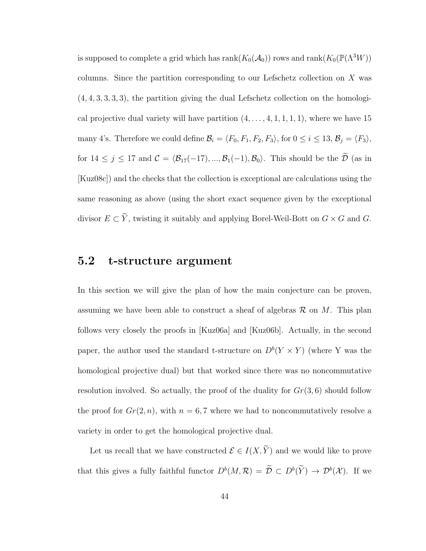is supposed to complete a grid which has  $rank(K_0(\mathcal{A}_0))$  rows and  $rank(K_0(\mathbb{P}(\Lambda^3 W)))$ columns. Since the partition corresponding to our Lefschetz collection on X was (4, 4, 3, 3, 3, 3), the partition giving the dual Lefschetz collection on the homological projective dual variety will have partition  $(4, \ldots, 4, 1, 1, 1, 1)$ , where we have 15 many 4's. Therefore we could define  $\mathcal{B}_i = \langle F_0, F_1, F_2, F_3 \rangle$ , for  $0 \le i \le 13$ ,  $\mathcal{B}_j = \langle F_3 \rangle$ , for  $14 \leq j \leq 17$  and  $C = \langle \mathcal{B}_{17}(-17), ..., \mathcal{B}_{1}(-1), \mathcal{B}_0 \rangle$ . This should be the  $\tilde{\mathcal{D}}$  (as in [Kuz08c]) and the checks that the collection is exceptional are calculations using the same reasoning as above (using the short exact sequence given by the exceptional divisor  $E \subset \widetilde{Y}$ , twisting it suitably and applying Borel-Weil-Bott on  $G \times G$  and  $G$ .

### 5.2 t-structure argument

In this section we will give the plan of how the main conjecture can be proven, assuming we have been able to construct a sheaf of algebras  $\mathcal R$  on M. This plan follows very closely the proofs in [Kuz06a] and [Kuz06b]. Actually, in the second paper, the author used the standard t-structure on  $D^{b}(Y \times Y)$  (where Y was the homological projective dual) but that worked since there was no noncommutative resolution involved. So actually, the proof of the duality for  $Gr(3, 6)$  should follow the proof for  $Gr(2, n)$ , with  $n = 6, 7$  where we had to noncommutatively resolve a variety in order to get the homological projective dual.

Let us recall that we have constructed  $\mathcal{E} \in I(X, \widetilde{Y})$  and we would like to prove that this gives a fully faithful functor  $D^b(M,\mathcal{R}) = \tilde{\mathcal{D}} \subset D^b(\tilde{Y}) \to \mathcal{D}^b(\mathcal{X})$ . If we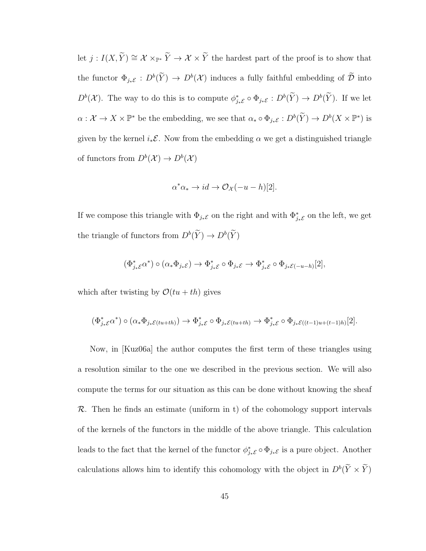let  $j: I(X, \widetilde{Y}) \cong \mathcal{X} \times_{\mathbb{P}^*} \widetilde{Y} \to \mathcal{X} \times \widetilde{Y}$  the hardest part of the proof is to show that the functor  $\Phi_{j_*\mathcal{E}}: D^b(\tilde{Y}) \to D^b(\mathcal{X})$  induces a fully faithful embedding of  $\tilde{\mathcal{D}}$  into  $D^b(\mathcal{X})$ . The way to do this is to compute  $\phi_{j*\mathcal{E}}^* \circ \Phi_{j*\mathcal{E}} : D^b(\tilde{Y}) \to D^b(\tilde{Y})$ . If we let  $\alpha: \mathcal{X} \to X \times \mathbb{P}^*$  be the embedding, we see that  $\alpha_* \circ \Phi_{j_*\mathcal{E}}: D^b(\widetilde{Y}) \to D^b(X \times \mathbb{P}^*)$  is given by the kernel  $i_*\mathcal{E}$ . Now from the embedding  $\alpha$  we get a distinguished triangle of functors from  $D^b(\mathcal{X}) \to D^b(\mathcal{X})$ 

$$
\alpha^* \alpha_* \to id \to \mathcal{O}_{\mathcal{X}}(-u - h)[2].
$$

If we compose this triangle with  $\Phi_{j_*\mathcal{E}}$  on the right and with  $\Phi_{j_*\mathcal{E}}^*$  on the left, we get the triangle of functors from  $D^b(\tilde{Y}) \to D^b(\tilde{Y})$ 

$$
(\Phi_{j_*\mathcal{E}}^*\alpha^*) \circ (\alpha_*\Phi_{j_*\mathcal{E}}) \to \Phi_{j_*\mathcal{E}}^* \circ \Phi_{j_*\mathcal{E}} \to \Phi_{j_*\mathcal{E}}^* \circ \Phi_{j_*\mathcal{E}(-u-h)}[2],
$$

which after twisting by  $\mathcal{O}(tu + th)$  gives

$$
(\Phi_{j_*\mathcal{E}}^*\alpha^*)\circ(\alpha_*\Phi_{j_*\mathcal{E}(tu+th)})\to\Phi_{j_*\mathcal{E}}^*\circ\Phi_{j_*\mathcal{E}(tu+th)}\to\Phi_{j_*\mathcal{E}}^*\circ\Phi_{j_*\mathcal{E}((t-1)u+(t-1)h)}[2].
$$

Now, in [Kuz06a] the author computes the first term of these triangles using a resolution similar to the one we described in the previous section. We will also compute the terms for our situation as this can be done without knowing the sheaf  $\mathcal{R}$ . Then he finds an estimate (uniform in t) of the cohomology support intervals of the kernels of the functors in the middle of the above triangle. This calculation leads to the fact that the kernel of the functor  $\phi_{j_*\mathcal{E}}^* \circ \Phi_{j_*\mathcal{E}}$  is a pure object. Another calculations allows him to identify this cohomology with the object in  $D^b(\tilde{Y} \times \tilde{Y})$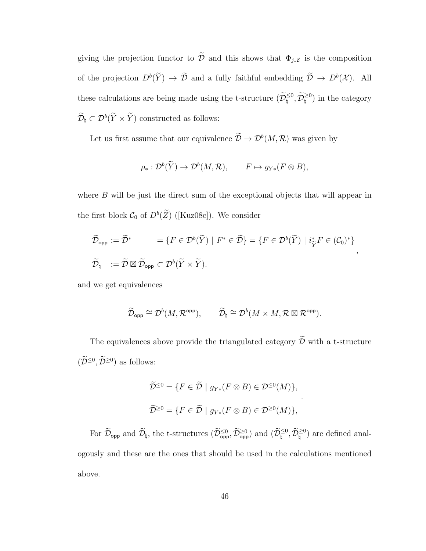giving the projection functor to  $\widetilde{\mathcal{D}}$  and this shows that  $\Phi_{j_*\mathcal{E}}$  is the composition of the projection  $D^b(\tilde{Y}) \to \tilde{\mathcal{D}}$  and a fully faithful embedding  $\tilde{\mathcal{D}} \to D^b(\mathcal{X})$ . All these calculations are being made using the t-structure  $(\widetilde{\mathcal{D}}_{\natural}^{\leq 0}, \widetilde{\mathcal{D}}_{\natural}^{\geq 0})$  in the category  $\widetilde{\mathcal{D}}_{\natural} \subset \mathcal{D}^b(\widetilde{Y} \times \widetilde{Y})$  constructed as follows:

Let us first assume that our equivalence  $\mathcal{D} \to \mathcal{D}^b(M, \mathcal{R})$  was given by

$$
\rho_*: \mathcal{D}^b(\widetilde{Y}) \to \mathcal{D}^b(M, \mathcal{R}), \qquad F \mapsto g_{Y*}(F \otimes B),
$$

where B will be just the direct sum of the exceptional objects that will appear in the first block  $C_0$  of  $D^b(\tilde{Z})$  ([Kuz08c]). We consider

$$
\widetilde{\mathcal{D}}_{\text{opp}} := \widetilde{\mathcal{D}}^* \qquad = \{ F \in \mathcal{D}^b(\widetilde{Y}) \mid F^* \in \widetilde{\mathcal{D}} \} = \{ F \in \mathcal{D}^b(\widetilde{Y}) \mid i_{\widetilde{Y}}^* F \in (\mathcal{C}_0)^* \},
$$
  

$$
\widetilde{\mathcal{D}}_{\natural} \quad := \widetilde{\mathcal{D}} \boxtimes \widetilde{\mathcal{D}}_{\text{opp}} \subset \mathcal{D}^b(\widetilde{Y} \times \widetilde{Y}).
$$

and we get equivalences

$$
\widetilde{\mathcal{D}}_{\text{opp}} \cong \mathcal{D}^b(M, \mathcal{R}^{\text{opp}}), \qquad \widetilde{\mathcal{D}}_{\natural} \cong \mathcal{D}^b(M \times M, \mathcal{R} \boxtimes \mathcal{R}^{\text{opp}}).
$$

The equivalences above provide the triangulated category  $\widetilde{\mathcal D}$  with a t-structure  $(\widetilde{\mathcal{D}}^{\leq 0}, \widetilde{\mathcal{D}}^{\geq 0})$  as follows:

$$
\widetilde{\mathcal{D}}^{\leq 0} = \{ F \in \widetilde{\mathcal{D}} \mid g_{Y*}(F \otimes B) \in \mathcal{D}^{\leq 0}(M) \},
$$
  

$$
\widetilde{\mathcal{D}}^{\geq 0} = \{ F \in \widetilde{\mathcal{D}} \mid g_{Y*}(F \otimes B) \in \mathcal{D}^{\geq 0}(M) \},
$$

.

For  $\widetilde{\mathcal{D}}_{\textsf{opp}}$  and  $\widetilde{\mathcal{D}}_{\natural}$ , the t-structures  $(\widetilde{\mathcal{D}}_{\textsf{opp}}^{\leq 0}, \widetilde{\mathcal{D}}_{\textsf{opp}}^{\geq 0})$  and  $(\widetilde{\mathcal{D}}_{\natural}^{\leq 0}, \widetilde{\mathcal{D}}_{\natural}^{\geq 0})$  are defined analogously and these are the ones that should be used in the calculations mentioned above.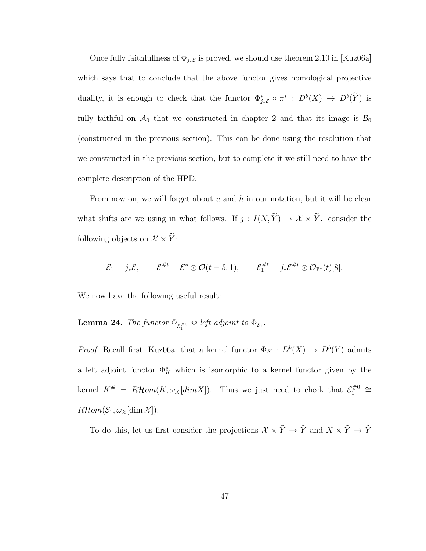Once fully faithfullness of  $\Phi_{j_*\mathcal{E}}$  is proved, we should use theorem 2.10 in [Kuz06a] which says that to conclude that the above functor gives homological projective duality, it is enough to check that the functor  $\Phi_{j_*\mathcal{E}}^* \circ \pi^* : D^b(X) \to D^b(Y)$  is fully faithful on  $\mathcal{A}_0$  that we constructed in chapter 2 and that its image is  $\mathcal{B}_0$ (constructed in the previous section). This can be done using the resolution that we constructed in the previous section, but to complete it we still need to have the complete description of the HPD.

From now on, we will forget about  $u$  and  $h$  in our notation, but it will be clear what shifts are we using in what follows. If  $j: I(X, \widetilde{Y}) \to \mathcal{X} \times \widetilde{Y}$ . consider the following objects on  $\mathcal{X} \times \widetilde{Y}$ :

$$
\mathcal{E}_1 = j_* \mathcal{E}, \qquad \mathcal{E}^{\#t} = \mathcal{E}^* \otimes \mathcal{O}(t-5,1), \qquad \mathcal{E}_1^{\#t} = j_* \mathcal{E}^{\#t} \otimes \mathcal{O}_{\mathbb{P}^*}(t)[8].
$$

We now have the following useful result:

**Lemma 24.** The functor  $\Phi_{\mathcal{E}_1^{*0}}$  is left adjoint to  $\Phi_{\mathcal{E}_1}$ .

*Proof.* Recall first [Kuz06a] that a kernel functor  $\Phi_K : D^b(X) \to D^b(Y)$  admits a left adjoint functor  $\Phi_K^*$  which is isomorphic to a kernel functor given by the kernel  $K^{\#} = R\mathcal{H}om(K, \omega_X[dim X])$ . Thus we just need to check that  $\mathcal{E}_1^{\#0}$  $\frac{1}{1}^{#0}$  ≅  $R\mathcal{H}om(\mathcal{E}_1,\omega_{\mathcal{X}}[\dim \mathcal{X}]).$ 

To do this, let us first consider the projections  $\mathcal{X}\times \tilde{Y}\to \tilde{Y}$  and  $X\times \tilde{Y}\to \tilde{Y}$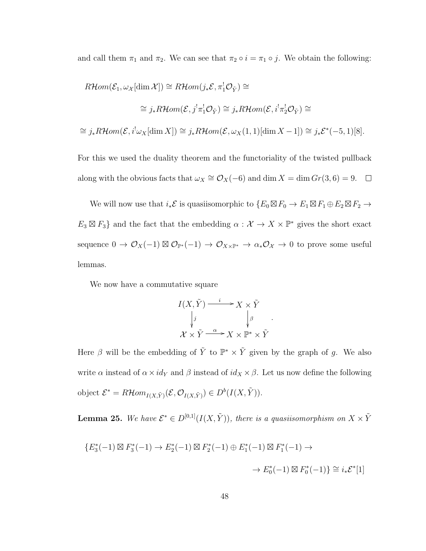and call them  $\pi_1$  and  $\pi_2$ . We can see that  $\pi_2 \circ i = \pi_1 \circ j$ . We obtain the following:

$$
R\mathcal{H}om(\mathcal{E}_1, \omega_X[\dim \mathcal{X}]) \cong R\mathcal{H}om(j_*\mathcal{E}, \pi_1^!\mathcal{O}_{\tilde{Y}}) \cong
$$
  

$$
\cong j_*R\mathcal{H}om(\mathcal{E}, j^!\pi_1^!\mathcal{O}_{\tilde{Y}}) \cong j_*R\mathcal{H}om(\mathcal{E}, i^!\pi_2^!\mathcal{O}_{\tilde{Y}}) \cong
$$
  

$$
\cong j_*R\mathcal{H}om(\mathcal{E}, i^!\omega_X[\dim X]) \cong j_*R\mathcal{H}om(\mathcal{E}, \omega_X(1,1)[\dim X - 1]) \cong j_*\mathcal{E}^*(-5, 1)[8].
$$

For this we used the duality theorem and the functoriality of the twisted pullback along with the obvious facts that  $\omega_X \cong \mathcal{O}_X(-6)$  and dim  $X = \dim Gr(3, 6) = 9$ .

We will now use that  $i_*\mathcal{E}$  is quasiisomorphic to  $\{E_0 \boxtimes F_0 \to E_1 \boxtimes F_1 \oplus E_2 \boxtimes F_2 \to E_1 \boxtimes F_1 \oplus E_2 \boxtimes F_2 \}$  $E_3 \boxtimes F_3$  and the fact that the embedding  $\alpha : \mathcal{X} \to X \times \mathbb{P}^*$  gives the short exact sequence  $0 \to \mathcal{O}_X(-1) \boxtimes \mathcal{O}_{\mathbb{P}^*}(-1) \to \mathcal{O}_{X \times \mathbb{P}^*} \to \alpha_* \mathcal{O}_X \to 0$  to prove some useful lemmas.

We now have a commutative square

$$
I(X, \tilde{Y}) \xrightarrow{i} X \times \tilde{Y}
$$
  
\n
$$
\downarrow j
$$
  
\n
$$
\mathcal{X} \times \tilde{Y} \xrightarrow{\alpha} X \times \mathbb{P}^* \times \tilde{Y}
$$

.

Here  $\beta$  will be the embedding of  $\tilde{Y}$  to  $\mathbb{P}^* \times \tilde{Y}$  given by the graph of g. We also write  $\alpha$  instead of  $\alpha \times id_Y$  and  $\beta$  instead of  $id_X \times \beta$ . Let us now define the following object  $\mathcal{E}^* = R\mathcal{H}om_{I(X,\tilde{Y})}(\mathcal{E}, \mathcal{O}_{I(X,\tilde{Y})}) \in D^b(I(X,\tilde{Y})).$ 

**Lemma 25.** We have  $\mathcal{E}^* \in D^{[0,1]}(I(X,\tilde{Y}))$ , there is a quasiisomorphism on  $X \times \tilde{Y}$ 

$$
\begin{aligned} \{E_3^*(-1) \boxtimes F_3^*(-1) \to E_2^*(-1) \boxtimes F_2^*(-1) \oplus E_1^*(-1) \boxtimes F_1^*(-1) \to \\ &\to E_0^*(-1) \boxtimes F_0^*(-1) \} \cong i_*\mathcal{E}^*[1] \end{aligned}
$$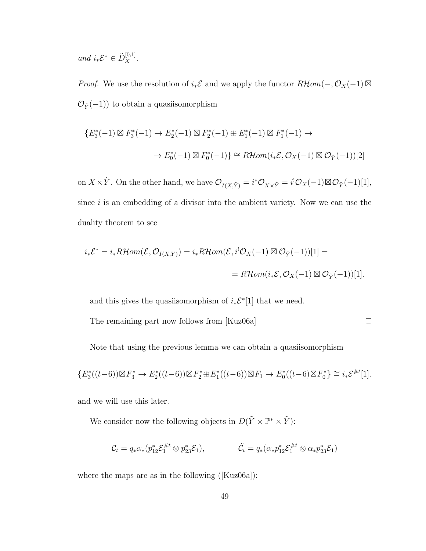and  $i_*\mathcal{E}^* \in \tilde{D}_X^{[0,1]}.$ 

*Proof.* We use the resolution of  $i_*\mathcal{E}$  and we apply the functor  $R\mathcal{H}$ *om*( $-, \mathcal{O}_X(-1) \boxtimes$  $\mathcal{O}_{\tilde{Y}}(-1))$  to obtain a quasiisomorphism

$$
\{E_3^*(-1) \boxtimes F_3^*(-1) \to E_2^*(-1) \boxtimes F_2^*(-1) \oplus E_1^*(-1) \boxtimes F_1^*(-1) \to
$$
  

$$
\to E_0^*(-1) \boxtimes F_0^*(-1) \} \cong \mathbb{R}\mathcal{H}om(i_*\mathcal{E}, \mathcal{O}_X(-1) \boxtimes \mathcal{O}_{\tilde{Y}}(-1))[2]
$$

on  $X \times \tilde{Y}$ . On the other hand, we have  $\mathcal{O}_{I(X,\tilde{Y})} = i^*\mathcal{O}_{X \times \tilde{Y}} = i^!\mathcal{O}_X(-1) \boxtimes \mathcal{O}_{\tilde{Y}}(-1)[1],$ since  $i$  is an embedding of a divisor into the ambient variety. Now we can use the duality theorem to see

$$
i_* \mathcal{E}^* = i_* R\mathcal{H}om(\mathcal{E}, \mathcal{O}_{I(X,Y)}) = i_* R\mathcal{H}om(\mathcal{E}, i^! \mathcal{O}_X(-1) \boxtimes \mathcal{O}_{\tilde{Y}}(-1))[1] =
$$
  
= 
$$
R\mathcal{H}om(i_* \mathcal{E}, \mathcal{O}_X(-1) \boxtimes \mathcal{O}_{\tilde{Y}}(-1))[1].
$$

and this gives the quasiisomorphism of  $i_* \mathcal{E}^*[1]$  that we need.

The remaining part now follows from [Kuz06a]

 $\Box$ 

Note that using the previous lemma we can obtain a quasiisomorphism

$$
\{E_3^*((t-6))\boxtimes F_3^*\rightarrow E_2^*((t-6))\boxtimes F_2^*\oplus E_1^*((t-6))\boxtimes F_1\rightarrow E_0^*((t-6)\boxtimes F_0^*)\cong i_*\mathcal{E}^{\#t}[1].
$$

and we will use this later.

We consider now the following objects in  $D(\tilde{Y} \times \mathbb{P}^* \times \tilde{Y})$ :

$$
\mathcal{C}_t = q_* \alpha_*(p_{12}^* \mathcal{E}_1^{\#t} \otimes p_{23}^* \mathcal{E}_1), \qquad \qquad \tilde{\mathcal{C}}_t = q_* (\alpha_* p_{12}^* \mathcal{E}_1^{\#t} \otimes \alpha_* p_{23}^* \mathcal{E}_1)
$$

where the maps are as in the following ([Kuz06a]):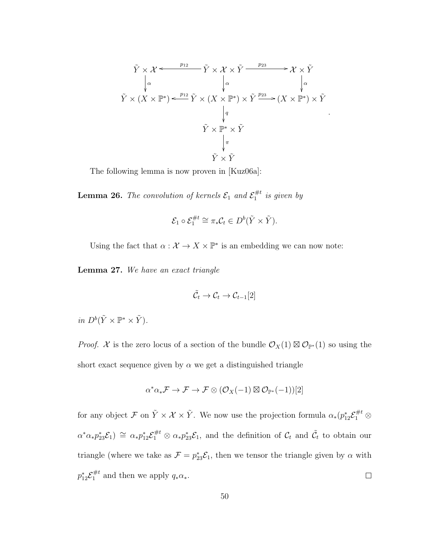$$
\tilde{Y} \times \mathcal{X} \xrightarrow{p_{12}} \tilde{Y} \times \mathcal{X} \times \tilde{Y} \xrightarrow{p_{23}} \mathcal{X} \times \tilde{Y}
$$
\n
$$
\downarrow^{\alpha} \qquad \qquad \downarrow^{\alpha} \qquad \qquad \downarrow^{\alpha} \qquad \qquad \downarrow^{\alpha}
$$
\n
$$
\tilde{Y} \times (X \times \mathbb{P}^*) \xleftarrow{p_{12}} \tilde{Y} \times (X \times \mathbb{P}^*) \times \tilde{Y} \xrightarrow{p_{23}} (X \times \mathbb{P}^*) \times \tilde{Y}
$$
\n
$$
\downarrow^q
$$
\n
$$
\tilde{Y} \times \mathbb{P}^* \times \tilde{Y}
$$
\n
$$
\downarrow^{\pi}
$$
\n
$$
\tilde{Y} \times \tilde{Y}
$$

.

The following lemma is now proven in [Kuz06a]:

**Lemma 26.** The convolution of kernels  $\mathcal{E}_1$  and  $\mathcal{E}_1^{\#t}$  $j_1^{\#t}$  is given by

$$
\mathcal{E}_1 \circ \mathcal{E}_1^{\#t} \cong \pi_* \mathcal{C}_t \in D^b(\tilde{Y} \times \tilde{Y}).
$$

Using the fact that  $\alpha : \mathcal{X} \to X \times \mathbb{P}^*$  is an embedding we can now note:

Lemma 27. We have an exact triangle

$$
\tilde{\mathcal{C}}_t \to \mathcal{C}_t \to \mathcal{C}_{t-1}[2]
$$

in  $D^b(\tilde{Y} \times \mathbb{P}^* \times \tilde{Y})$ .

*Proof.* X is the zero locus of a section of the bundle  $\mathcal{O}_X(1) \boxtimes \mathcal{O}_{\mathbb{P}^*}(1)$  so using the short exact sequence given by  $\alpha$  we get a distinguished triangle

$$
\alpha^*\alpha_*\mathcal{F} \to \mathcal{F} \to \mathcal{F} \otimes (\mathcal{O}_X(-1) \boxtimes \mathcal{O}_{\mathbb{P}^*}(-1))[2]
$$

for any object  $\mathcal F$  on  $\tilde Y\times\mathcal X\times\tilde Y$ . We now use the projection formula  $\alpha_*(p_{12}^*\mathcal E_1^{\#t}\otimes$  $\alpha^*\alpha_*p_{23}^*\mathcal{E}_1$   $\cong \alpha_*p_{12}^*\mathcal{E}_1^{\#t} \otimes \alpha_*p_{23}^*\mathcal{E}_1$ , and the definition of  $\mathcal{C}_t$  and  $\tilde{\mathcal{C}}_t$  to obtain our triangle (where we take as  $\mathcal{F} = p_{23}^* \mathcal{E}_1$ , then we tensor the triangle given by  $\alpha$  with  $p_{12}^* \mathcal{E}_{1}^{\#t}$  $j_1^{\#t}$  and then we apply  $q_*\alpha_*$ .  $\Box$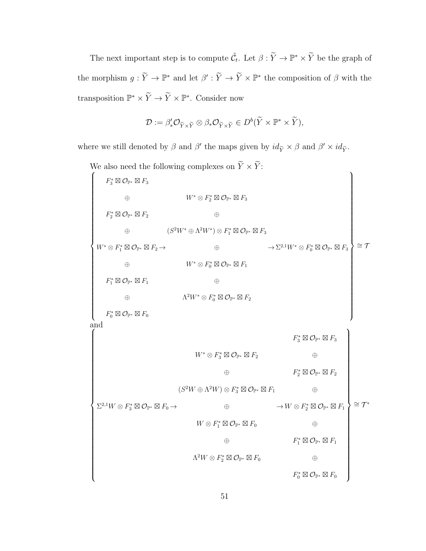The next important step is to compute  $\tilde{C}_t$ . Let  $\beta : \tilde{Y} \to \mathbb{P}^* \times \tilde{Y}$  be the graph of the morphism  $g: \widetilde{Y} \to \mathbb{P}^*$  and let  $\beta': \widetilde{Y} \to \widetilde{Y} \times \mathbb{P}^*$  the composition of  $\beta$  with the transposition  $\mathbb{P}^* \times \widetilde{Y} \to \widetilde{Y} \times \mathbb{P}^*$ . Consider now

$$
\mathcal{D} := \beta'_* \mathcal{O}_{\widetilde{Y} \times \widetilde{Y}} \otimes \beta_* \mathcal{O}_{\widetilde{Y} \times \widetilde{Y}} \in D^b(\widetilde{Y} \times \mathbb{P}^* \times \widetilde{Y}),
$$

where we still denoted by  $\beta$  and  $\beta'$  the maps given by  $id_{\tilde{Y}} \times \beta$  and  $\beta' \times id_{\tilde{Y}}$ .

| We also need the following complexes on $Y \times Y$ :                                       |                                                                                             |                                                                                                                        |
|----------------------------------------------------------------------------------------------|---------------------------------------------------------------------------------------------|------------------------------------------------------------------------------------------------------------------------|
| $F_3^* \boxtimes \mathcal{O}_{\mathbb{P}^*} \boxtimes F_3$                                   |                                                                                             |                                                                                                                        |
| $\oplus$                                                                                     | $W^* \otimes F_2^* \boxtimes \mathcal{O}_{\mathbb{P}^*} \boxtimes F_3$                      |                                                                                                                        |
| $F_2^*\boxtimes\mathcal{O}_{\mathbb{P}^*}\boxtimes F_2$                                      | $\oplus$                                                                                    |                                                                                                                        |
| $\oplus$                                                                                     | $(S^2W^*\oplus \Lambda^2W^*)\otimes F_1^*\boxtimes \mathcal{O}_{\mathbb{P}^*}\boxtimes F_3$ |                                                                                                                        |
| $W^*\otimes F_1^*\boxtimes\mathcal{O}_{\mathbb{P}^*}\boxtimes F_2\mathop{\rightarrow}$       | $\oplus$                                                                                    | $\cong \mathcal{T}$<br>$\rightarrow \Sigma^{2,1} W^* \otimes F_0^* \boxtimes \mathcal{O}_{\mathbb{P}^*} \boxtimes F_3$ |
| $\oplus$                                                                                     | $W^* \otimes F_0^* \boxtimes \mathcal{O}_{\mathbb{P}^*} \boxtimes F_1$                      |                                                                                                                        |
| $F_1^* \boxtimes \mathcal{O}_{\mathbb{P}^*} \boxtimes F_1$                                   | $\oplus$                                                                                    |                                                                                                                        |
| $\oplus$                                                                                     | $\Lambda^2 W^* \otimes F_0^* \boxtimes \mathcal{O}_{\mathbb{P}^*} \boxtimes F_2$            |                                                                                                                        |
| $F_0^*\boxtimes\mathcal{O}_{\mathbb{P}^*}\boxtimes F_0$                                      |                                                                                             |                                                                                                                        |
| and                                                                                          |                                                                                             |                                                                                                                        |
|                                                                                              |                                                                                             | $F_3^* \boxtimes \mathcal{O}_{\mathbb{P}^*} \boxtimes F_3$                                                             |
|                                                                                              | $W^* \otimes F_3^* \boxtimes \mathcal{O}_{\mathbb{P}^*} \boxtimes F_2$                      | $\oplus$                                                                                                               |
|                                                                                              | $\oplus$                                                                                    | $F_2^* \boxtimes \mathcal{O}_{\mathbb{P}^*} \boxtimes F_2$                                                             |
|                                                                                              | $(S^2W \oplus \Lambda^2W) \otimes F_3^* \boxtimes \mathcal{O}_{\mathbb{P}^*} \boxtimes F_1$ | ⊕                                                                                                                      |
| $\Sigma^{2,1}W \otimes F_3^* \boxtimes \mathcal{O}_{\mathbb{P}^*} \boxtimes F_0 \rightarrow$ | $\oplus$                                                                                    | $\cong \mathcal{T}^*$<br>$\rightarrow W \otimes F_2^* \boxtimes \mathcal{O}_{\mathbb{P}^*} \boxtimes F_1$              |
|                                                                                              | $W\otimes F_1^*\boxtimes\mathcal{O}_{\mathbb{P}^*}\boxtimes F_0$                            | $\oplus$                                                                                                               |
|                                                                                              | $\oplus$                                                                                    | $F_1^* \boxtimes \mathcal{O}_{\mathbb{P}^*} \boxtimes F_1$                                                             |
|                                                                                              | $\Lambda^2 W \otimes F_2^* \boxtimes \mathcal{O}_{\mathbb{P}^*} \boxtimes F_0$              | $\oplus$                                                                                                               |
|                                                                                              |                                                                                             | $F_0^* \boxtimes \mathcal{O}_{\mathbb{P}^*} \boxtimes F_0$                                                             |
|                                                                                              |                                                                                             |                                                                                                                        |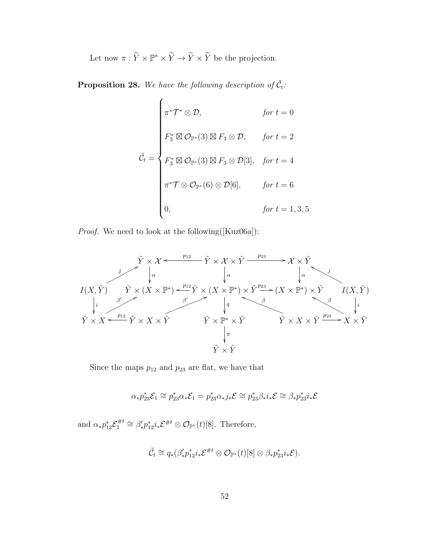Let now  $\pi : \widetilde{Y} \times \mathbb{P}^* \times \widetilde{Y} \to \widetilde{Y} \times \widetilde{Y}$  be the projection.

**Proposition 28.** We have the following description of  $\tilde{C}_t$ :

$$
\tilde{\mathcal{C}}_t = \begin{cases}\n\pi^* \mathcal{T}^* \otimes \mathcal{D}, & \text{for } t = 0 \\
F_3^* \boxtimes \mathcal{O}_{\mathbb{P}^*}(3) \boxtimes F_3 \otimes \mathcal{D}, & \text{for } t = 2 \\
F_3^* \boxtimes \mathcal{O}_{\mathbb{P}^*}(3) \boxtimes F_3 \otimes \mathcal{D}[3], & \text{for } t = 4 \\
\pi^* \mathcal{T} \otimes \mathcal{O}_{\mathbb{P}^*}(6) \otimes \mathcal{D}[6], & \text{for } t = 6 \\
0, & \text{for } t = 1, 3, 5\n\end{cases}
$$

Proof. We need to look at the following([Kuz06a]):



Since the maps  $p_{12}$  and  $p_{23}$  are flat, we have that

$$
\alpha_* p_{23}^* \mathcal{E}_1 \cong p_{23}^* \alpha_* \mathcal{E}_1 = p_{23}^* \alpha_* j_* \mathcal{E} \cong p_{23}^* \beta_* i_* \mathcal{E} \cong \beta_* p_{23}^* i_* \mathcal{E}
$$

and  $\alpha_* p_{12}^* \mathcal{E}_1^{\#t}$ <sup>#*t*</sup> ≅  $\beta'_* p_{12}^* i_* \mathcal{E}^{#t} \otimes \mathcal{O}_{\mathbb{P}^*}(t)$ [8]. Therefore,

$$
\tilde{\mathcal{C}}_t \cong q_*(\beta'_*p_{12}^*i_*\mathcal{E}^{\#t} \otimes \mathcal{O}_{\mathbb{P}^*}(t)[8] \otimes \beta_*p_{23}^*i_*\mathcal{E}).
$$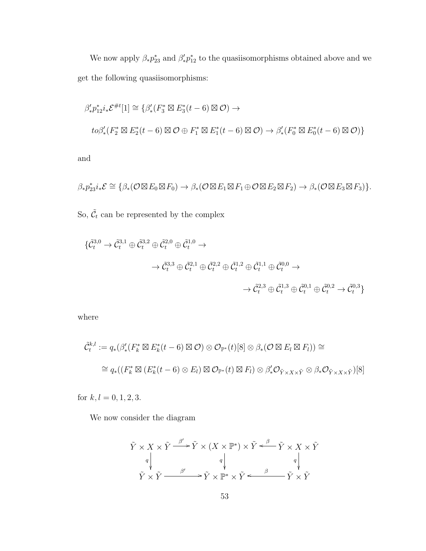We now apply  $\beta_* p_{23}^*$  and  $\beta'_* p_{12}^*$  to the quasiisomorphisms obtained above and we get the following quasiisomorphisms:

$$
\beta'_* p_{12}^* i_* \mathcal{E}^{\#t}[1] \cong \{ \beta'_* (F_3^* \boxtimes E_3^*(t-6) \boxtimes \mathcal{O}) \to
$$
  

$$
to \beta'_* (F_2^* \boxtimes E_2^*(t-6) \boxtimes \mathcal{O} \oplus F_1^* \boxtimes E_1^*(t-6) \boxtimes \mathcal{O}) \to \beta'_* (F_0^* \boxtimes E_0^*(t-6) \boxtimes \mathcal{O}) \}
$$

and

$$
\beta_* p_{23}^* i_* \mathcal{E} \cong \{ \beta_* (\mathcal{O} \boxtimes E_0 \boxtimes F_0) \to \beta_* (\mathcal{O} \boxtimes E_1 \boxtimes F_1 \oplus \mathcal{O} \boxtimes E_2 \boxtimes F_2) \to \beta_* (\mathcal{O} \boxtimes E_3 \boxtimes F_3) \}.
$$

So,  $\tilde{\mathcal{C}}_t$  can be represented by the complex

$$
\begin{aligned} \{\tilde{\mathcal{C}}_t^{3,0} \to \tilde{\mathcal{C}}_t^{3,1} \oplus \tilde{\mathcal{C}}_t^{3,2} \oplus \tilde{\mathcal{C}}_t^{2,0} \oplus \tilde{\mathcal{C}}_t^{1,0} \to \\ & \to \tilde{\mathcal{C}}_t^{3,3} \oplus \tilde{\mathcal{C}}_t^{2,1} \oplus \tilde{\mathcal{C}}_t^{2,2} \oplus \tilde{\mathcal{C}}_t^{1,2} \oplus \tilde{\mathcal{C}}_t^{1,1} \oplus \tilde{\mathcal{C}}_t^{0,0} \to \\ & \to \tilde{\mathcal{C}}_t^{2,3} \oplus \tilde{\mathcal{C}}_t^{1,3} \oplus \tilde{\mathcal{C}}_t^{0,1} \oplus \tilde{\mathcal{C}}_t^{0,2} \to \tilde{\mathcal{C}}_t^{0,3} \end{aligned}
$$

where

$$
\tilde{C}_{t}^{k,l} := q_{*}(\beta'_{*}(F_{k}^{*} \boxtimes E_{k}^{*}(t-6) \boxtimes \mathcal{O}) \otimes \mathcal{O}_{\mathbb{P}^{*}}(t)[8] \otimes \beta_{*}(\mathcal{O} \boxtimes E_{l} \boxtimes F_{l})) \cong
$$
  

$$
\cong q_{*}((F_{k}^{*} \boxtimes (E_{k}^{*}(t-6) \otimes E_{l}) \boxtimes \mathcal{O}_{\mathbb{P}^{*}}(t) \boxtimes F_{l}) \otimes \beta'_{*}\mathcal{O}_{\tilde{Y} \times X \times \tilde{Y}} \otimes \beta_{*}\mathcal{O}_{\tilde{Y} \times X \times \tilde{Y}})[8]
$$

for  $k,l=0,1,2,3.$ 

We now consider the diagram

$$
\tilde{Y} \times X \times \tilde{Y} \xrightarrow{\beta'} \tilde{Y} \times (X \times \mathbb{P}^*) \times \tilde{Y} \xleftarrow{\beta} \tilde{Y} \times X \times \tilde{Y}
$$
\n
$$
\tilde{Y} \times \tilde{Y} \xrightarrow{\beta'} \tilde{Y} \times \mathbb{P}^* \times \tilde{Y} \xleftarrow{\beta} \tilde{Y} \times \tilde{Y}
$$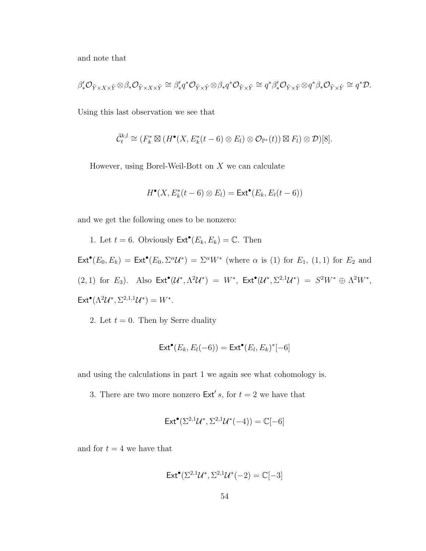and note that

$$
\beta'_* \mathcal{O}_{\tilde{Y} \times X \times \tilde{Y}} \otimes \beta_* \mathcal{O}_{\tilde{Y} \times X \times \tilde{Y}} \cong \beta'_* q^* \mathcal{O}_{\tilde{Y} \times \tilde{Y}} \otimes \beta_* q^* \mathcal{O}_{\tilde{Y} \times \tilde{Y}} \cong q^* \beta'_* \mathcal{O}_{\tilde{Y} \times \tilde{Y}} \otimes q^* \beta_* \mathcal{O}_{\tilde{Y} \times \tilde{Y}} \cong q^* \mathcal{D}.
$$

Using this last observation we see that

$$
\tilde{C}_t^{k,l} \cong (F_k^* \boxtimes (H^{\bullet}(X, E_k^*(t-6) \otimes E_l) \otimes \mathcal{O}_{\mathbb{P}^*}(t)) \boxtimes F_l) \otimes \mathcal{D})[8].
$$

However, using Borel-Weil-Bott on  $X$  we can calculate

$$
H^{\bullet}(X, E_k^*(t-6) \otimes E_l) = \mathsf{Ext}^{\bullet}(E_k, E_l(t-6))
$$

and we get the following ones to be nonzero:

1. Let  $t = 6$ . Obviously  $\mathsf{Ext}^{\bullet}(E_k, E_k) = \mathbb{C}$ . Then  $\mathsf{Ext}^\bullet(E_0,E_k) = \mathsf{Ext}^\bullet(E_0,\Sigma^\alpha\mathcal{U}^*) = \Sigma^\alpha W^*$  (where  $\alpha$  is (1) for  $E_1$ , (1, 1) for  $E_2$  and (2, 1) for  $E_3$ ). Also  $\mathsf{Ext}^{\bullet}(\mathcal{U}^*, \Lambda^2 \mathcal{U}^*) = W^*$ ,  $\mathsf{Ext}^{\bullet}(\mathcal{U}^*, \Sigma^{2,1}\mathcal{U}^*) = S^2W^* \oplus \Lambda^2W^*$ ,  $\mathsf{Ext}^{\bullet}(\Lambda^2 \mathcal{U}^*, \Sigma^{2,1,1} \mathcal{U}^*) = W^*.$ 

2. Let  $t = 0$ . Then by Serre duality

$$
\mathsf{Ext}^\bullet(E_k,E_l(-6)) = \mathsf{Ext}^\bullet(E_l,E_k)^*[-6]
$$

and using the calculations in part 1 we again see what cohomology is.

3. There are two more nonzero  $\text{Ext}' s$ , for  $t = 2$  we have that

$$
\mathsf{Ext}^\bullet(\Sigma^{2,1}\mathcal{U}^*,\Sigma^{2,1}\mathcal{U}^*(-4))=\mathbb{C}[-6]
$$

and for  $t = 4$  we have that

$$
\mathsf{Ext}^{\bullet}(\Sigma^{2,1}\mathcal{U}^*, \Sigma^{2,1}\mathcal{U}^*(-2) = \mathbb{C}[-3]
$$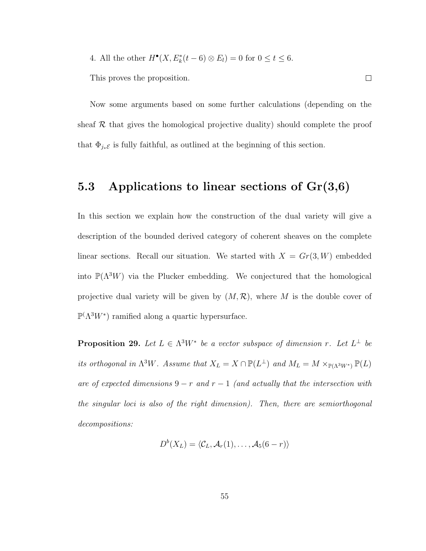4. All the other  $H^{\bullet}(X, E_k^*(t-6) \otimes E_l) = 0$  for  $0 \le t \le 6$ .

This proves the proposition.

Now some arguments based on some further calculations (depending on the sheaf  $R$  that gives the homological projective duality) should complete the proof that  $\Phi_{j_*\mathcal{E}}$  is fully faithful, as outlined at the beginning of this section.

 $\Box$ 

### 5.3 Applications to linear sections of  $Gr(3,6)$

In this section we explain how the construction of the dual variety will give a description of the bounded derived category of coherent sheaves on the complete linear sections. Recall our situation. We started with  $X = Gr(3, W)$  embedded into  $\mathbb{P}(\Lambda^3 W)$  via the Plucker embedding. We conjectured that the homological projective dual variety will be given by  $(M, \mathcal{R})$ , where M is the double cover of  $\mathbb{P}(\Lambda^3 W^*)$  ramified along a quartic hypersurface.

**Proposition 29.** Let  $L \in \Lambda^3 W^*$  be a vector subspace of dimension r. Let  $L^{\perp}$  be its orthogonal in  $\Lambda^3 W$ . Assume that  $X_L = X \cap \mathbb{P}(L^{\perp})$  and  $M_L = M \times_{\mathbb{P}(\Lambda^3 W^*)} \mathbb{P}(L)$ are of expected dimensions  $9 - r$  and  $r - 1$  (and actually that the intersection with the singular loci is also of the right dimension). Then, there are semiorthogonal decompositions:

$$
D^{b}(X_L) = \langle \mathcal{C}_L, \mathcal{A}_r(1), \ldots, \mathcal{A}_5(6-r) \rangle
$$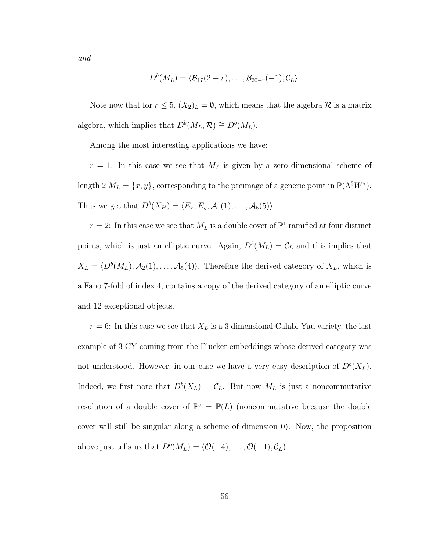$$
D^{b}(M_{L})=\langle \mathcal{B}_{17}(2-r),\ldots,\mathcal{B}_{20-r}(-1),\mathcal{C}_{L}\rangle.
$$

Note now that for  $r \leq 5$ ,  $(X_2)_L = \emptyset$ , which means that the algebra  $\mathcal R$  is a matrix algebra, which implies that  $D^b(M_L, \mathcal{R}) \cong D^b(M_L)$ .

Among the most interesting applications we have:

 $r = 1$ : In this case we see that  $M<sub>L</sub>$  is given by a zero dimensional scheme of length 2  $M_L = \{x, y\}$ , corresponding to the preimage of a generic point in  $\mathbb{P}(\Lambda^3 W^*)$ . Thus we get that  $D^b(X_H) = \langle E_x, E_y, A_1(1), \ldots, A_5(5) \rangle$ .

 $r = 2$ : In this case we see that  $M_L$  is a double cover of  $\mathbb{P}^1$  ramified at four distinct points, which is just an elliptic curve. Again,  $D^b(M_L) = \mathcal{C}_L$  and this implies that  $X_L = \langle D^b(M_L), \mathcal{A}_2(1), \ldots, \mathcal{A}_5(4) \rangle$ . Therefore the derived category of  $X_L$ , which is a Fano 7-fold of index 4, contains a copy of the derived category of an elliptic curve and 12 exceptional objects.

 $r = 6$ : In this case we see that  $X_L$  is a 3 dimensional Calabi-Yau variety, the last example of 3 CY coming from the Plucker embeddings whose derived category was not understood. However, in our case we have a very easy description of  $D^b(X_L)$ . Indeed, we first note that  $D^b(X_L) = \mathcal{C}_L$ . But now  $M_L$  is just a noncommutative resolution of a double cover of  $\mathbb{P}^5 = \mathbb{P}(L)$  (noncommutative because the double cover will still be singular along a scheme of dimension 0). Now, the proposition above just tells us that  $D^b(M_L) = \langle \mathcal{O}(-4), \ldots, \mathcal{O}(-1), \mathcal{C}_L \rangle$ .

and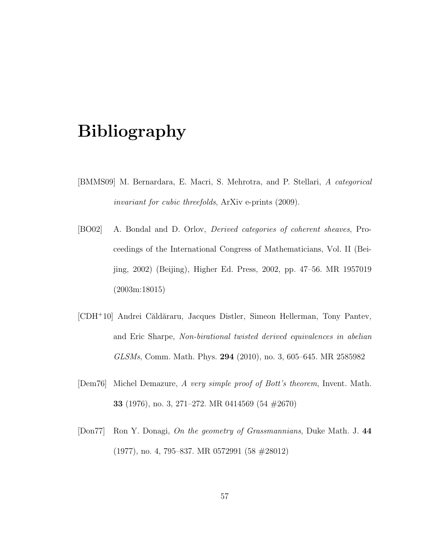# Bibliography

- [BMMS09] M. Bernardara, E. Macri, S. Mehrotra, and P. Stellari, A categorical invariant for cubic threefolds, ArXiv e-prints (2009).
- [BO02] A. Bondal and D. Orlov, Derived categories of coherent sheaves, Proceedings of the International Congress of Mathematicians, Vol. II (Beijing, 2002) (Beijing), Higher Ed. Press, 2002, pp. 47–56. MR 1957019 (2003m:18015)
- [CDH<sup>+</sup>10] Andrei Căldăraru, Jacques Distler, Simeon Hellerman, Tony Pantev, and Eric Sharpe, Non-birational twisted derived equivalences in abelian GLSMs, Comm. Math. Phys. 294 (2010), no. 3, 605–645. MR 2585982
- [Dem76] Michel Demazure, A very simple proof of Bott's theorem, Invent. Math. 33 (1976), no. 3, 271–272. MR 0414569 (54 #2670)
- [Don77] Ron Y. Donagi, On the geometry of Grassmannians, Duke Math. J. 44 (1977), no. 4, 795–837. MR 0572991 (58 #28012)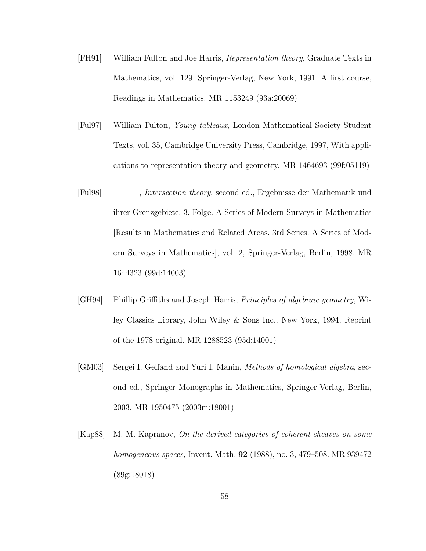- [FH91] William Fulton and Joe Harris, Representation theory, Graduate Texts in Mathematics, vol. 129, Springer-Verlag, New York, 1991, A first course, Readings in Mathematics. MR 1153249 (93a:20069)
- [Ful97] William Fulton, Young tableaux, London Mathematical Society Student Texts, vol. 35, Cambridge University Press, Cambridge, 1997, With applications to representation theory and geometry. MR 1464693 (99f:05119)
- [Ful98] , Intersection theory, second ed., Ergebnisse der Mathematik und ihrer Grenzgebiete. 3. Folge. A Series of Modern Surveys in Mathematics [Results in Mathematics and Related Areas. 3rd Series. A Series of Modern Surveys in Mathematics], vol. 2, Springer-Verlag, Berlin, 1998. MR 1644323 (99d:14003)
- [GH94] Phillip Griffiths and Joseph Harris, Principles of algebraic geometry, Wiley Classics Library, John Wiley & Sons Inc., New York, 1994, Reprint of the 1978 original. MR 1288523 (95d:14001)
- [GM03] Sergei I. Gelfand and Yuri I. Manin, Methods of homological algebra, second ed., Springer Monographs in Mathematics, Springer-Verlag, Berlin, 2003. MR 1950475 (2003m:18001)
- [Kap88] M. M. Kapranov, On the derived categories of coherent sheaves on some homogeneous spaces, Invent. Math. 92 (1988), no. 3, 479–508. MR 939472 (89g:18018)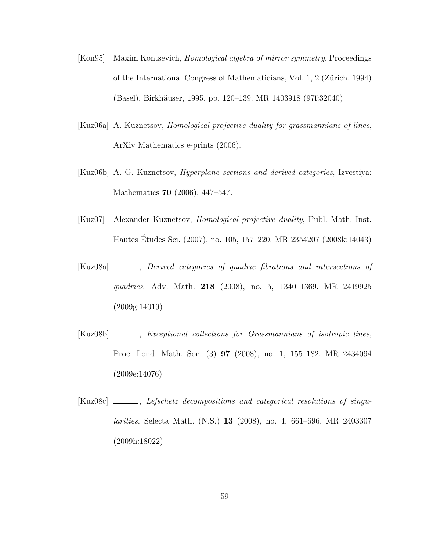- [Kon95] Maxim Kontsevich, Homological algebra of mirror symmetry, Proceedings of the International Congress of Mathematicians, Vol. 1, 2 (Zürich, 1994) (Basel), Birkh¨auser, 1995, pp. 120–139. MR 1403918 (97f:32040)
- [Kuz06a] A. Kuznetsov, Homological projective duality for grassmannians of lines, ArXiv Mathematics e-prints (2006).
- [Kuz06b] A. G. Kuznetsov, Hyperplane sections and derived categories, Izvestiya: Mathematics 70 (2006), 447–547.
- [Kuz07] Alexander Kuznetsov, Homological projective duality, Publ. Math. Inst. Hautes Etudes Sci. (2007), no. 105, 157–220. MR 2354207 (2008k:14043) ´
- [Kuz08a] \_\_\_\_\_, Derived categories of quadric fibrations and intersections of quadrics, Adv. Math. 218 (2008), no. 5, 1340–1369. MR 2419925 (2009g:14019)
- [Kuz08b] \_\_\_\_\_, Exceptional collections for Grassmannians of isotropic lines, Proc. Lond. Math. Soc. (3) 97 (2008), no. 1, 155–182. MR 2434094 (2009e:14076)
- [Kuz08c] \_\_\_\_\_, Lefschetz decompositions and categorical resolutions of singularities, Selecta Math. (N.S.) 13 (2008), no. 4, 661–696. MR 2403307 (2009h:18022)